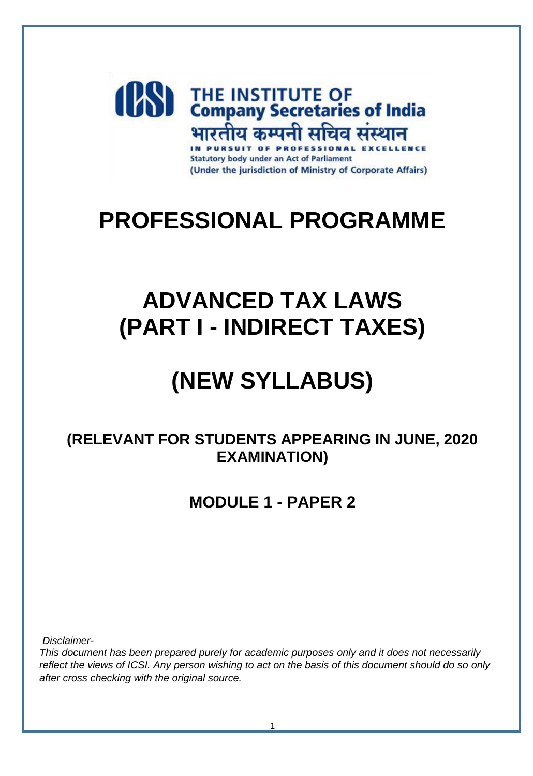

# **PROFESSIONAL PROGRAMME**

# **ADVANCED TAX LAWS (PART I - INDIRECT TAXES)**

# **(NEW SYLLABUS)**

# **(RELEVANT FOR STUDENTS APPEARING IN JUNE, 2020 EXAMINATION)**

**MODULE 1 - PAPER 2**

*Disclaimer-*

*This document has been prepared purely for academic purposes only and it does not necessarily reflect the views of ICSI. Any person wishing to act on the basis of this document should do so only after cross checking with the original source.*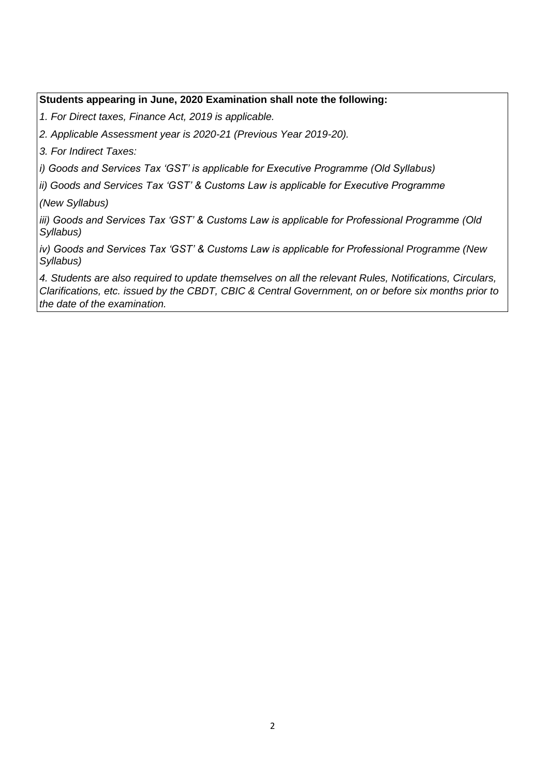#### **Students appearing in June, 2020 Examination shall note the following:**

*1. For Direct taxes, Finance Act, 2019 is applicable.* 

*2. Applicable Assessment year is 2020-21 (Previous Year 2019-20).* 

*3. For Indirect Taxes:* 

*i) Goods and Services Tax 'GST' is applicable for Executive Programme (Old Syllabus)* 

*ii) Goods and Services Tax 'GST' & Customs Law is applicable for Executive Programme* 

*(New Syllabus)* 

*iii) Goods and Services Tax 'GST' & Customs Law is applicable for Professional Programme (Old Syllabus)* 

*iv) Goods and Services Tax 'GST' & Customs Law is applicable for Professional Programme (New Syllabus)* 

*4. Students are also required to update themselves on all the relevant Rules, Notifications, Circulars, Clarifications, etc. issued by the CBDT, CBIC & Central Government, on or before six months prior to the date of the examination.*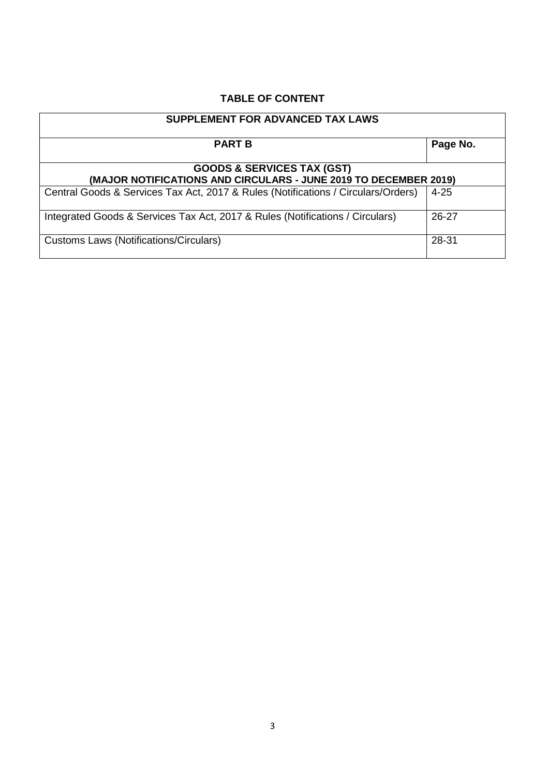# **TABLE OF CONTENT**

| <b>SUPPLEMENT FOR ADVANCED TAX LAWS</b>                                                                   |          |  |  |
|-----------------------------------------------------------------------------------------------------------|----------|--|--|
| <b>PART B</b>                                                                                             | Page No. |  |  |
| <b>GOODS &amp; SERVICES TAX (GST)</b><br>(MAJOR NOTIFICATIONS AND CIRCULARS - JUNE 2019 TO DECEMBER 2019) |          |  |  |
| Central Goods & Services Tax Act, 2017 & Rules (Notifications / Circulars/Orders)                         | $4 - 25$ |  |  |
| Integrated Goods & Services Tax Act, 2017 & Rules (Notifications / Circulars)                             | 26-27    |  |  |
| Customs Laws (Notifications/Circulars)                                                                    | 28-31    |  |  |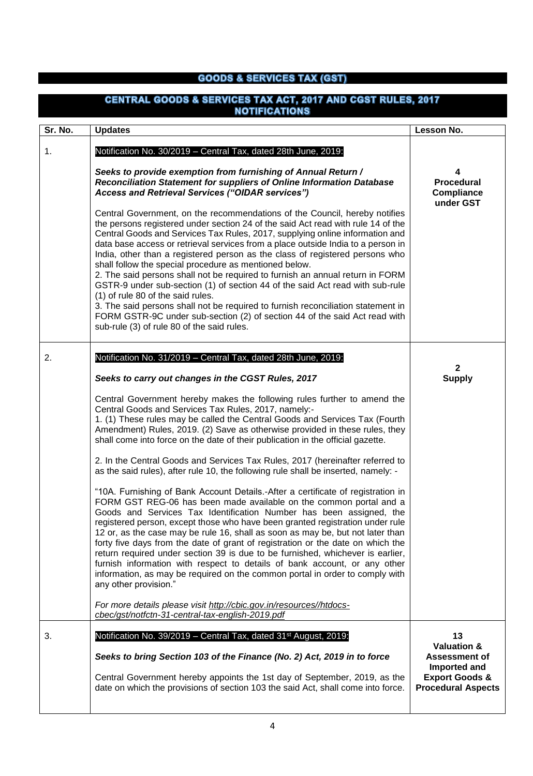### **GOODS & SERVICES TAX (GST)**

#### CENTRAL GOODS & SERVICES TAX ACT, 2017 AND CGST RULES, 2017 **NOTIFICATIONS Sr. No. Updates Lesson No.** 1. Notification No. 30/2019 – Central Tax, dated 28th June, 2019: *Seeks to provide exemption from furnishing of Annual Return /*  **4** *Reconciliation Statement for suppliers of Online Information Database*  **Procedural**  *Access and Retrieval Services ("OIDAR services")* **Compliance under GST** Central Government, on the recommendations of the Council, hereby notifies the persons registered under section 24 of the said Act read with rule 14 of the Central Goods and Services Tax Rules, 2017, supplying online information and data base access or retrieval services from a place outside India to a person in India, other than a registered person as the class of registered persons who shall follow the special procedure as mentioned below. 2. The said persons shall not be required to furnish an annual return in FORM GSTR-9 under sub-section (1) of section 44 of the said Act read with sub-rule (1) of rule 80 of the said rules. 3. The said persons shall not be required to furnish reconciliation statement in FORM GSTR-9C under sub-section (2) of section 44 of the said Act read with sub-rule (3) of rule 80 of the said rules. 2. Notification No. 31/2019 – Central Tax, dated 28th June, 2019: **2** *Seeks to carry out changes in the CGST Rules, 2017* **Supply** Central Government hereby makes the following rules further to amend the Central Goods and Services Tax Rules, 2017, namely:- 1. (1) These rules may be called the Central Goods and Services Tax (Fourth Amendment) Rules, 2019. (2) Save as otherwise provided in these rules, they shall come into force on the date of their publication in the official gazette. 2. In the Central Goods and Services Tax Rules, 2017 (hereinafter referred to as the said rules), after rule 10, the following rule shall be inserted, namely: - "10A. Furnishing of Bank Account Details.-After a certificate of registration in FORM GST REG-06 has been made available on the common portal and a Goods and Services Tax Identification Number has been assigned, the registered person, except those who have been granted registration under rule 12 or, as the case may be rule 16, shall as soon as may be, but not later than forty five days from the date of grant of registration or the date on which the return required under section 39 is due to be furnished, whichever is earlier, furnish information with respect to details of bank account, or any other information, as may be required on the common portal in order to comply with any other provision." *For more details please visit [http://cbic.gov.in/resources//htdocs](http://cbic.gov.in/resources/htdocs-cbec/gst/notfctn-31-central-tax-english-2019.pdf)[cbec/gst/notfctn-31-central-tax-english-2019.pdf](http://cbic.gov.in/resources/htdocs-cbec/gst/notfctn-31-central-tax-english-2019.pdf)* 3. Notification No. 39/2019 – Central Tax, dated 31st August, 2019: **13 Valuation &**  *Seeks to bring Section 103 of the Finance (No. 2) Act, 2019 in to force* **Assessment of Imported and** Central Government hereby appoints the 1st day of September, 2019, as the **Export Goods &** date on which the provisions of section 103 the said Act, shall come into force. **Procedural Aspects**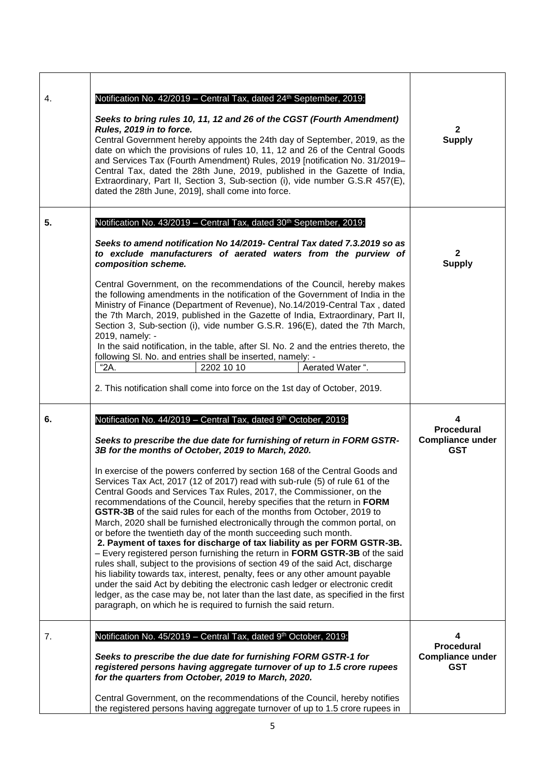| 4. | Notification No. 42/2019 - Central Tax, dated 24 <sup>th</sup> September, 2019:<br>Seeks to bring rules 10, 11, 12 and 26 of the CGST (Fourth Amendment)<br>Rules, 2019 in to force.<br>Central Government hereby appoints the 24th day of September, 2019, as the<br>date on which the provisions of rules 10, 11, 12 and 26 of the Central Goods<br>and Services Tax (Fourth Amendment) Rules, 2019 [notification No. 31/2019-<br>Central Tax, dated the 28th June, 2019, published in the Gazette of India,<br>Extraordinary, Part II, Section 3, Sub-section (i), vide number G.S.R 457(E),<br>dated the 28th June, 2019], shall come into force.                                                                                                                                                                                                                                                                                                                                                                                                                                                                 | $\mathbf{2}$<br><b>Supply</b>                              |
|----|-----------------------------------------------------------------------------------------------------------------------------------------------------------------------------------------------------------------------------------------------------------------------------------------------------------------------------------------------------------------------------------------------------------------------------------------------------------------------------------------------------------------------------------------------------------------------------------------------------------------------------------------------------------------------------------------------------------------------------------------------------------------------------------------------------------------------------------------------------------------------------------------------------------------------------------------------------------------------------------------------------------------------------------------------------------------------------------------------------------------------|------------------------------------------------------------|
| 5. | Notification No. 43/2019 - Central Tax, dated 30 <sup>th</sup> September, 2019:                                                                                                                                                                                                                                                                                                                                                                                                                                                                                                                                                                                                                                                                                                                                                                                                                                                                                                                                                                                                                                       |                                                            |
|    | Seeks to amend notification No 14/2019- Central Tax dated 7.3.2019 so as<br>to exclude manufacturers of aerated waters from the purview of<br>composition scheme.<br>Central Government, on the recommendations of the Council, hereby makes<br>the following amendments in the notification of the Government of India in the<br>Ministry of Finance (Department of Revenue), No.14/2019-Central Tax, dated<br>the 7th March, 2019, published in the Gazette of India, Extraordinary, Part II,<br>Section 3, Sub-section (i), vide number G.S.R. 196(E), dated the 7th March,<br>2019, namely: -<br>In the said notification, in the table, after SI. No. 2 and the entries thereto, the<br>following SI. No. and entries shall be inserted, namely: -<br>"2A.<br>Aerated Water ".<br>2202 10 10<br>2. This notification shall come into force on the 1st day of October, 2019.                                                                                                                                                                                                                                      | $\mathbf{2}$<br><b>Supply</b>                              |
| 6. | Notification No. 44/2019 - Central Tax, dated 9th October, 2019:                                                                                                                                                                                                                                                                                                                                                                                                                                                                                                                                                                                                                                                                                                                                                                                                                                                                                                                                                                                                                                                      | 4                                                          |
|    | Seeks to prescribe the due date for furnishing of return in FORM GSTR-<br>3B for the months of October, 2019 to March, 2020.                                                                                                                                                                                                                                                                                                                                                                                                                                                                                                                                                                                                                                                                                                                                                                                                                                                                                                                                                                                          | <b>Procedural</b><br><b>Compliance under</b><br><b>GST</b> |
|    | In exercise of the powers conferred by section 168 of the Central Goods and<br>Services Tax Act, 2017 (12 of 2017) read with sub-rule (5) of rule 61 of the<br>Central Goods and Services Tax Rules, 2017, the Commissioner, on the<br>recommendations of the Council, hereby specifies that the return in FORM<br>GSTR-3B of the said rules for each of the months from October, 2019 to<br>March, 2020 shall be furnished electronically through the common portal, on<br>or before the twentieth day of the month succeeding such month.<br>2. Payment of taxes for discharge of tax liability as per FORM GSTR-3B.<br>- Every registered person furnishing the return in FORM GSTR-3B of the said<br>rules shall, subject to the provisions of section 49 of the said Act, discharge<br>his liability towards tax, interest, penalty, fees or any other amount payable<br>under the said Act by debiting the electronic cash ledger or electronic credit<br>ledger, as the case may be, not later than the last date, as specified in the first<br>paragraph, on which he is required to furnish the said return. |                                                            |
| 7. | Notification No. 45/2019 - Central Tax, dated 9th October, 2019:                                                                                                                                                                                                                                                                                                                                                                                                                                                                                                                                                                                                                                                                                                                                                                                                                                                                                                                                                                                                                                                      | 4<br><b>Procedural</b>                                     |
|    | Seeks to prescribe the due date for furnishing FORM GSTR-1 for<br>registered persons having aggregate turnover of up to 1.5 crore rupees<br>for the quarters from October, 2019 to March, 2020.                                                                                                                                                                                                                                                                                                                                                                                                                                                                                                                                                                                                                                                                                                                                                                                                                                                                                                                       | <b>Compliance under</b><br><b>GST</b>                      |
|    | Central Government, on the recommendations of the Council, hereby notifies<br>the registered persons having aggregate turnover of up to 1.5 crore rupees in                                                                                                                                                                                                                                                                                                                                                                                                                                                                                                                                                                                                                                                                                                                                                                                                                                                                                                                                                           |                                                            |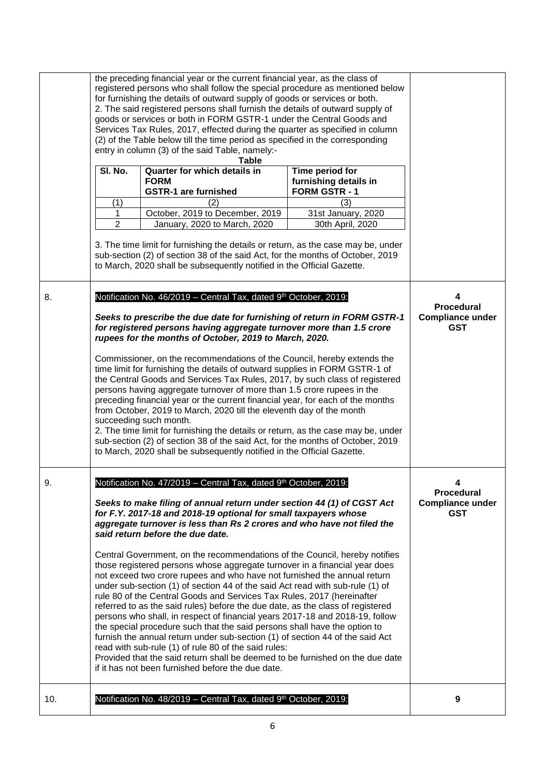|     | the preceding financial year or the current financial year, as the class of<br>registered persons who shall follow the special procedure as mentioned below<br>for furnishing the details of outward supply of goods or services or both.<br>2. The said registered persons shall furnish the details of outward supply of<br>goods or services or both in FORM GSTR-1 under the Central Goods and<br>Services Tax Rules, 2017, effected during the quarter as specified in column<br>(2) of the Table below till the time period as specified in the corresponding<br>entry in column (3) of the said Table, namely:- |                                                                                                                                                                                                                                                                                                                                                                                                                                                                                                                                                                                                                                                                                                                                                                                                                                                                                                                               |                                                                       |                                                                 |
|-----|------------------------------------------------------------------------------------------------------------------------------------------------------------------------------------------------------------------------------------------------------------------------------------------------------------------------------------------------------------------------------------------------------------------------------------------------------------------------------------------------------------------------------------------------------------------------------------------------------------------------|-------------------------------------------------------------------------------------------------------------------------------------------------------------------------------------------------------------------------------------------------------------------------------------------------------------------------------------------------------------------------------------------------------------------------------------------------------------------------------------------------------------------------------------------------------------------------------------------------------------------------------------------------------------------------------------------------------------------------------------------------------------------------------------------------------------------------------------------------------------------------------------------------------------------------------|-----------------------------------------------------------------------|-----------------------------------------------------------------|
|     | SI. No.<br>(1)                                                                                                                                                                                                                                                                                                                                                                                                                                                                                                                                                                                                         | Table<br>Quarter for which details in<br><b>FORM</b><br><b>GSTR-1 are furnished</b><br>(2)                                                                                                                                                                                                                                                                                                                                                                                                                                                                                                                                                                                                                                                                                                                                                                                                                                    | Time period for<br>furnishing details in<br><b>FORM GSTR-1</b><br>(3) |                                                                 |
|     | 1<br>$\overline{2}$                                                                                                                                                                                                                                                                                                                                                                                                                                                                                                                                                                                                    | October, 2019 to December, 2019<br>January, 2020 to March, 2020<br>3. The time limit for furnishing the details or return, as the case may be, under                                                                                                                                                                                                                                                                                                                                                                                                                                                                                                                                                                                                                                                                                                                                                                          | 31st January, 2020<br>30th April, 2020                                |                                                                 |
|     |                                                                                                                                                                                                                                                                                                                                                                                                                                                                                                                                                                                                                        | sub-section (2) of section 38 of the said Act, for the months of October, 2019<br>to March, 2020 shall be subsequently notified in the Official Gazette.                                                                                                                                                                                                                                                                                                                                                                                                                                                                                                                                                                                                                                                                                                                                                                      |                                                                       |                                                                 |
| 8.  |                                                                                                                                                                                                                                                                                                                                                                                                                                                                                                                                                                                                                        | Notification No. 46/2019 - Central Tax, dated 9th October, 2019:                                                                                                                                                                                                                                                                                                                                                                                                                                                                                                                                                                                                                                                                                                                                                                                                                                                              |                                                                       | 4<br><b>Procedural</b>                                          |
|     |                                                                                                                                                                                                                                                                                                                                                                                                                                                                                                                                                                                                                        | Seeks to prescribe the due date for furnishing of return in FORM GSTR-1<br>for registered persons having aggregate turnover more than 1.5 crore<br>rupees for the months of October, 2019 to March, 2020.                                                                                                                                                                                                                                                                                                                                                                                                                                                                                                                                                                                                                                                                                                                     |                                                                       | <b>Compliance under</b><br><b>GST</b>                           |
|     |                                                                                                                                                                                                                                                                                                                                                                                                                                                                                                                                                                                                                        | Commissioner, on the recommendations of the Council, hereby extends the<br>time limit for furnishing the details of outward supplies in FORM GSTR-1 of<br>the Central Goods and Services Tax Rules, 2017, by such class of registered<br>persons having aggregate turnover of more than 1.5 crore rupees in the<br>preceding financial year or the current financial year, for each of the months<br>from October, 2019 to March, 2020 till the eleventh day of the month<br>succeeding such month.<br>2. The time limit for furnishing the details or return, as the case may be, under<br>sub-section (2) of section 38 of the said Act, for the months of October, 2019<br>to March, 2020 shall be subsequently notified in the Official Gazette.                                                                                                                                                                          |                                                                       |                                                                 |
| 9.  |                                                                                                                                                                                                                                                                                                                                                                                                                                                                                                                                                                                                                        | Notification No. 47/2019 - Central Tax, dated 9th October, 2019:<br>Seeks to make filing of annual return under section 44 (1) of CGST Act<br>for F.Y. 2017-18 and 2018-19 optional for small taxpayers whose<br>aggregate turnover is less than Rs 2 crores and who have not filed the<br>said return before the due date.                                                                                                                                                                                                                                                                                                                                                                                                                                                                                                                                                                                                   |                                                                       | 4<br><b>Procedural</b><br><b>Compliance under</b><br><b>GST</b> |
|     |                                                                                                                                                                                                                                                                                                                                                                                                                                                                                                                                                                                                                        | Central Government, on the recommendations of the Council, hereby notifies<br>those registered persons whose aggregate turnover in a financial year does<br>not exceed two crore rupees and who have not furnished the annual return<br>under sub-section (1) of section 44 of the said Act read with sub-rule (1) of<br>rule 80 of the Central Goods and Services Tax Rules, 2017 (hereinafter<br>referred to as the said rules) before the due date, as the class of registered<br>persons who shall, in respect of financial years 2017-18 and 2018-19, follow<br>the special procedure such that the said persons shall have the option to<br>furnish the annual return under sub-section (1) of section 44 of the said Act<br>read with sub-rule (1) of rule 80 of the said rules:<br>Provided that the said return shall be deemed to be furnished on the due date<br>if it has not been furnished before the due date. |                                                                       |                                                                 |
| 10. |                                                                                                                                                                                                                                                                                                                                                                                                                                                                                                                                                                                                                        | Notification No. 48/2019 - Central Tax, dated 9th October, 2019:                                                                                                                                                                                                                                                                                                                                                                                                                                                                                                                                                                                                                                                                                                                                                                                                                                                              |                                                                       | 9                                                               |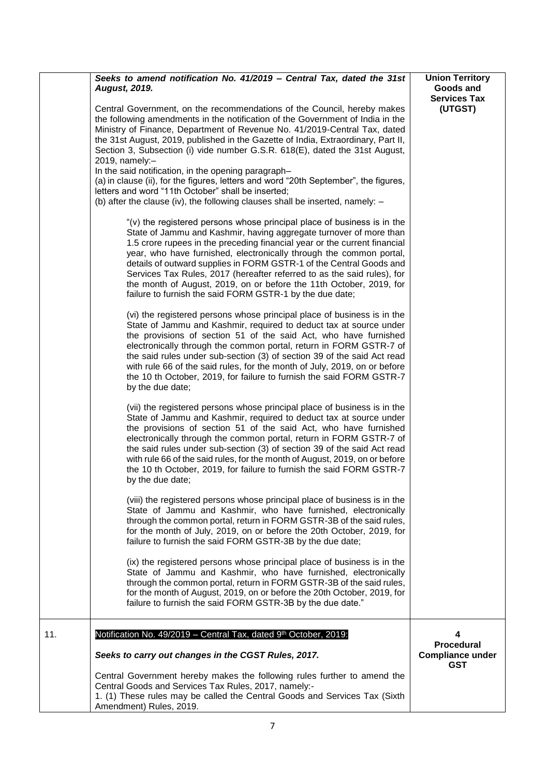|     | Seeks to amend notification No. 41/2019 - Central Tax, dated the 31st<br><b>August, 2019.</b><br>Central Government, on the recommendations of the Council, hereby makes<br>the following amendments in the notification of the Government of India in the<br>Ministry of Finance, Department of Revenue No. 41/2019-Central Tax, dated<br>the 31st August, 2019, published in the Gazette of India, Extraordinary, Part II,<br>Section 3, Subsection (i) vide number G.S.R. 618(E), dated the 31st August,<br>2019, namely:-<br>In the said notification, in the opening paragraph-<br>(a) in clause (ii), for the figures, letters and word "20th September", the figures,<br>letters and word "11th October" shall be inserted;<br>(b) after the clause (iv), the following clauses shall be inserted, namely: -<br>"(v) the registered persons whose principal place of business is in the<br>State of Jammu and Kashmir, having aggregate turnover of more than<br>1.5 crore rupees in the preceding financial year or the current financial<br>year, who have furnished, electronically through the common portal,<br>details of outward supplies in FORM GSTR-1 of the Central Goods and<br>Services Tax Rules, 2017 (hereafter referred to as the said rules), for<br>the month of August, 2019, on or before the 11th October, 2019, for<br>failure to furnish the said FORM GSTR-1 by the due date;<br>(vi) the registered persons whose principal place of business is in the<br>State of Jammu and Kashmir, required to deduct tax at source under<br>the provisions of section 51 of the said Act, who have furnished<br>electronically through the common portal, return in FORM GSTR-7 of<br>the said rules under sub-section (3) of section 39 of the said Act read<br>with rule 66 of the said rules, for the month of July, 2019, on or before<br>the 10 th October, 2019, for failure to furnish the said FORM GSTR-7<br>by the due date;<br>(vii) the registered persons whose principal place of business is in the<br>State of Jammu and Kashmir, required to deduct tax at source under<br>the provisions of section 51 of the said Act, who have furnished | <b>Union Territory</b><br>Goods and<br><b>Services Tax</b><br>(UTGST) |
|-----|------------------------------------------------------------------------------------------------------------------------------------------------------------------------------------------------------------------------------------------------------------------------------------------------------------------------------------------------------------------------------------------------------------------------------------------------------------------------------------------------------------------------------------------------------------------------------------------------------------------------------------------------------------------------------------------------------------------------------------------------------------------------------------------------------------------------------------------------------------------------------------------------------------------------------------------------------------------------------------------------------------------------------------------------------------------------------------------------------------------------------------------------------------------------------------------------------------------------------------------------------------------------------------------------------------------------------------------------------------------------------------------------------------------------------------------------------------------------------------------------------------------------------------------------------------------------------------------------------------------------------------------------------------------------------------------------------------------------------------------------------------------------------------------------------------------------------------------------------------------------------------------------------------------------------------------------------------------------------------------------------------------------------------------------------------------------------------------------------------------------------------------------------------------------------------|-----------------------------------------------------------------------|
|     | the said rules under sub-section (3) of section 39 of the said Act read<br>with rule 66 of the said rules, for the month of August, 2019, on or before<br>the 10 th October, 2019, for failure to furnish the said FORM GSTR-7<br>by the due date;<br>(viii) the registered persons whose principal place of business is in the<br>State of Jammu and Kashmir, who have furnished, electronically<br>through the common portal, return in FORM GSTR-3B of the said rules,<br>for the month of July, 2019, on or before the 20th October, 2019, for<br>failure to furnish the said FORM GSTR-3B by the due date;                                                                                                                                                                                                                                                                                                                                                                                                                                                                                                                                                                                                                                                                                                                                                                                                                                                                                                                                                                                                                                                                                                                                                                                                                                                                                                                                                                                                                                                                                                                                                                    |                                                                       |
|     | (ix) the registered persons whose principal place of business is in the<br>State of Jammu and Kashmir, who have furnished, electronically<br>through the common portal, return in FORM GSTR-3B of the said rules,<br>for the month of August, 2019, on or before the 20th October, 2019, for<br>failure to furnish the said FORM GSTR-3B by the due date."                                                                                                                                                                                                                                                                                                                                                                                                                                                                                                                                                                                                                                                                                                                                                                                                                                                                                                                                                                                                                                                                                                                                                                                                                                                                                                                                                                                                                                                                                                                                                                                                                                                                                                                                                                                                                         |                                                                       |
| 11. | Notification No. 49/2019 - Central Tax, dated 9th October, 2019:<br>Seeks to carry out changes in the CGST Rules, 2017.<br>Central Government hereby makes the following rules further to amend the<br>Central Goods and Services Tax Rules, 2017, namely:-<br>1. (1) These rules may be called the Central Goods and Services Tax (Sixth<br>Amendment) Rules, 2019.                                                                                                                                                                                                                                                                                                                                                                                                                                                                                                                                                                                                                                                                                                                                                                                                                                                                                                                                                                                                                                                                                                                                                                                                                                                                                                                                                                                                                                                                                                                                                                                                                                                                                                                                                                                                               | 4<br><b>Procedural</b><br><b>Compliance under</b><br><b>GST</b>       |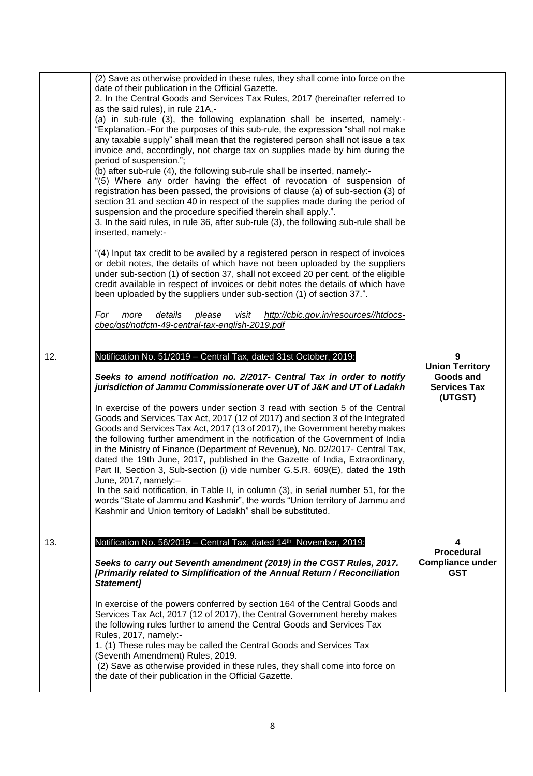|     | (2) Save as otherwise provided in these rules, they shall come into force on the<br>date of their publication in the Official Gazette.<br>2. In the Central Goods and Services Tax Rules, 2017 (hereinafter referred to<br>as the said rules), in rule 21A,-<br>(a) in sub-rule (3), the following explanation shall be inserted, namely:-<br>"Explanation.-For the purposes of this sub-rule, the expression "shall not make<br>any taxable supply" shall mean that the registered person shall not issue a tax<br>invoice and, accordingly, not charge tax on supplies made by him during the<br>period of suspension.";<br>(b) after sub-rule (4), the following sub-rule shall be inserted, namely:-<br>"(5) Where any order having the effect of revocation of suspension of<br>registration has been passed, the provisions of clause (a) of sub-section (3) of<br>section 31 and section 40 in respect of the supplies made during the period of<br>suspension and the procedure specified therein shall apply.".<br>3. In the said rules, in rule 36, after sub-rule (3), the following sub-rule shall be<br>inserted, namely:-<br>"(4) Input tax credit to be availed by a registered person in respect of invoices<br>or debit notes, the details of which have not been uploaded by the suppliers<br>under sub-section (1) of section 37, shall not exceed 20 per cent. of the eligible<br>credit available in respect of invoices or debit notes the details of which have<br>been uploaded by the suppliers under sub-section (1) of section 37.".<br>http://cbic.gov.in/resources//htdocs-<br>For<br>more<br>details<br>please<br>visit<br>cbec/gst/notfctn-49-central-tax-english-2019.pdf |                                                                            |
|-----|-----------------------------------------------------------------------------------------------------------------------------------------------------------------------------------------------------------------------------------------------------------------------------------------------------------------------------------------------------------------------------------------------------------------------------------------------------------------------------------------------------------------------------------------------------------------------------------------------------------------------------------------------------------------------------------------------------------------------------------------------------------------------------------------------------------------------------------------------------------------------------------------------------------------------------------------------------------------------------------------------------------------------------------------------------------------------------------------------------------------------------------------------------------------------------------------------------------------------------------------------------------------------------------------------------------------------------------------------------------------------------------------------------------------------------------------------------------------------------------------------------------------------------------------------------------------------------------------------------------------------------------------------------------------------------------------------------------|----------------------------------------------------------------------------|
| 12. | Notification No. 51/2019 - Central Tax, dated 31st October, 2019:<br>Seeks to amend notification no. 2/2017- Central Tax in order to notify<br>jurisdiction of Jammu Commissionerate over UT of J&K and UT of Ladakh<br>In exercise of the powers under section 3 read with section 5 of the Central<br>Goods and Services Tax Act, 2017 (12 of 2017) and section 3 of the Integrated<br>Goods and Services Tax Act, 2017 (13 of 2017), the Government hereby makes<br>the following further amendment in the notification of the Government of India<br>in the Ministry of Finance (Department of Revenue), No. 02/2017- Central Tax,<br>dated the 19th June, 2017, published in the Gazette of India, Extraordinary,<br>Part II, Section 3, Sub-section (i) vide number G.S.R. 609(E), dated the 19th<br>June, 2017, namely:-<br>In the said notification, in Table II, in column (3), in serial number 51, for the<br>words "State of Jammu and Kashmir", the words "Union territory of Jammu and<br>Kashmir and Union territory of Ladakh" shall be substituted.                                                                                                                                                                                                                                                                                                                                                                                                                                                                                                                                                                                                                                      | 9<br><b>Union Territory</b><br>Goods and<br><b>Services Tax</b><br>(UTGST) |
| 13. | Notification No. 56/2019 - Central Tax, dated 14 <sup>th</sup> November, 2019:<br>Seeks to carry out Seventh amendment (2019) in the CGST Rules, 2017.<br>[Primarily related to Simplification of the Annual Return / Reconciliation<br>Statement]<br>In exercise of the powers conferred by section 164 of the Central Goods and<br>Services Tax Act, 2017 (12 of 2017), the Central Government hereby makes<br>the following rules further to amend the Central Goods and Services Tax<br>Rules, 2017, namely:-<br>1. (1) These rules may be called the Central Goods and Services Tax<br>(Seventh Amendment) Rules, 2019.<br>(2) Save as otherwise provided in these rules, they shall come into force on<br>the date of their publication in the Official Gazette.                                                                                                                                                                                                                                                                                                                                                                                                                                                                                                                                                                                                                                                                                                                                                                                                                                                                                                                                    | 4<br><b>Procedural</b><br><b>Compliance under</b><br>GST                   |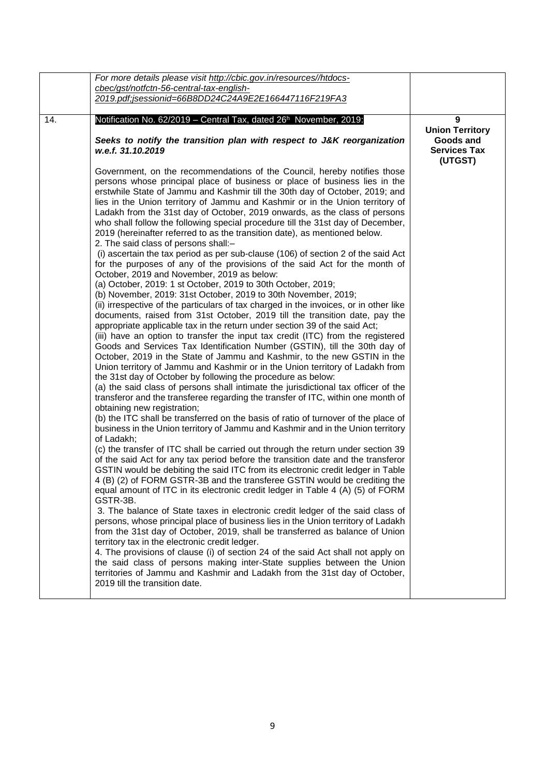|     | For more details please visit http://cbic.gov.in/resources//htdocs-                                                                                                                                                                                                                                                                                                                                                                                                                                                                                                                                                                                                                                                                                                                                                                                                                                                                                                                                                                                                                                                                                                                                                                                                                                                                                                                                                                                                                                                                                                                                                                                                                                                                                                                                                                                                                                                                                                                                                                                                                                                                                                                                                                                                                                                                                                                                                                                                                                                                                                                                                                                                                                                                                                                                                                                                                                                                                                                                                                               |                                          |
|-----|---------------------------------------------------------------------------------------------------------------------------------------------------------------------------------------------------------------------------------------------------------------------------------------------------------------------------------------------------------------------------------------------------------------------------------------------------------------------------------------------------------------------------------------------------------------------------------------------------------------------------------------------------------------------------------------------------------------------------------------------------------------------------------------------------------------------------------------------------------------------------------------------------------------------------------------------------------------------------------------------------------------------------------------------------------------------------------------------------------------------------------------------------------------------------------------------------------------------------------------------------------------------------------------------------------------------------------------------------------------------------------------------------------------------------------------------------------------------------------------------------------------------------------------------------------------------------------------------------------------------------------------------------------------------------------------------------------------------------------------------------------------------------------------------------------------------------------------------------------------------------------------------------------------------------------------------------------------------------------------------------------------------------------------------------------------------------------------------------------------------------------------------------------------------------------------------------------------------------------------------------------------------------------------------------------------------------------------------------------------------------------------------------------------------------------------------------------------------------------------------------------------------------------------------------------------------------------------------------------------------------------------------------------------------------------------------------------------------------------------------------------------------------------------------------------------------------------------------------------------------------------------------------------------------------------------------------------------------------------------------------------------------------------------------------|------------------------------------------|
|     | cbec/gst/notfctn-56-central-tax-english-                                                                                                                                                                                                                                                                                                                                                                                                                                                                                                                                                                                                                                                                                                                                                                                                                                                                                                                                                                                                                                                                                                                                                                                                                                                                                                                                                                                                                                                                                                                                                                                                                                                                                                                                                                                                                                                                                                                                                                                                                                                                                                                                                                                                                                                                                                                                                                                                                                                                                                                                                                                                                                                                                                                                                                                                                                                                                                                                                                                                          |                                          |
|     | 2019.pdf;jsessionid=66B8DD24C24A9E2E166447116F219FA3                                                                                                                                                                                                                                                                                                                                                                                                                                                                                                                                                                                                                                                                                                                                                                                                                                                                                                                                                                                                                                                                                                                                                                                                                                                                                                                                                                                                                                                                                                                                                                                                                                                                                                                                                                                                                                                                                                                                                                                                                                                                                                                                                                                                                                                                                                                                                                                                                                                                                                                                                                                                                                                                                                                                                                                                                                                                                                                                                                                              |                                          |
| 14. | Notification No. 62/2019 - Central Tax, dated 26 <sup>h</sup> November, 2019:<br>Seeks to notify the transition plan with respect to J&K reorganization                                                                                                                                                                                                                                                                                                                                                                                                                                                                                                                                                                                                                                                                                                                                                                                                                                                                                                                                                                                                                                                                                                                                                                                                                                                                                                                                                                                                                                                                                                                                                                                                                                                                                                                                                                                                                                                                                                                                                                                                                                                                                                                                                                                                                                                                                                                                                                                                                                                                                                                                                                                                                                                                                                                                                                                                                                                                                           | 9<br><b>Union Territory</b><br>Goods and |
|     | w.e.f. 31.10.2019                                                                                                                                                                                                                                                                                                                                                                                                                                                                                                                                                                                                                                                                                                                                                                                                                                                                                                                                                                                                                                                                                                                                                                                                                                                                                                                                                                                                                                                                                                                                                                                                                                                                                                                                                                                                                                                                                                                                                                                                                                                                                                                                                                                                                                                                                                                                                                                                                                                                                                                                                                                                                                                                                                                                                                                                                                                                                                                                                                                                                                 | <b>Services Tax</b><br>(UTGST)           |
|     | Government, on the recommendations of the Council, hereby notifies those<br>persons whose principal place of business or place of business lies in the<br>erstwhile State of Jammu and Kashmir till the 30th day of October, 2019; and<br>lies in the Union territory of Jammu and Kashmir or in the Union territory of<br>Ladakh from the 31st day of October, 2019 onwards, as the class of persons<br>who shall follow the following special procedure till the 31st day of December,<br>2019 (hereinafter referred to as the transition date), as mentioned below.<br>2. The said class of persons shall:-<br>(i) ascertain the tax period as per sub-clause (106) of section 2 of the said Act<br>for the purposes of any of the provisions of the said Act for the month of<br>October, 2019 and November, 2019 as below:<br>(a) October, 2019: 1 st October, 2019 to 30th October, 2019;<br>(b) November, 2019: 31st October, 2019 to 30th November, 2019;<br>(ii) irrespective of the particulars of tax charged in the invoices, or in other like<br>documents, raised from 31st October, 2019 till the transition date, pay the<br>appropriate applicable tax in the return under section 39 of the said Act;<br>(iii) have an option to transfer the input tax credit (ITC) from the registered<br>Goods and Services Tax Identification Number (GSTIN), till the 30th day of<br>October, 2019 in the State of Jammu and Kashmir, to the new GSTIN in the<br>Union territory of Jammu and Kashmir or in the Union territory of Ladakh from<br>the 31st day of October by following the procedure as below:<br>(a) the said class of persons shall intimate the jurisdictional tax officer of the<br>transferor and the transferee regarding the transfer of ITC, within one month of<br>obtaining new registration;<br>(b) the ITC shall be transferred on the basis of ratio of turnover of the place of<br>business in the Union territory of Jammu and Kashmir and in the Union territory<br>of Ladakh;<br>(c) the transfer of ITC shall be carried out through the return under section 39<br>of the said Act for any tax period before the transition date and the transferor<br>GSTIN would be debiting the said ITC from its electronic credit ledger in Table<br>4 (B) (2) of FORM GSTR-3B and the transferee GSTIN would be crediting the<br>equal amount of ITC in its electronic credit ledger in Table 4 (A) (5) of FORM<br>GSTR-3B.<br>3. The balance of State taxes in electronic credit ledger of the said class of<br>persons, whose principal place of business lies in the Union territory of Ladakh<br>from the 31st day of October, 2019, shall be transferred as balance of Union<br>territory tax in the electronic credit ledger.<br>4. The provisions of clause (i) of section 24 of the said Act shall not apply on<br>the said class of persons making inter-State supplies between the Union<br>territories of Jammu and Kashmir and Ladakh from the 31st day of October,<br>2019 till the transition date. |                                          |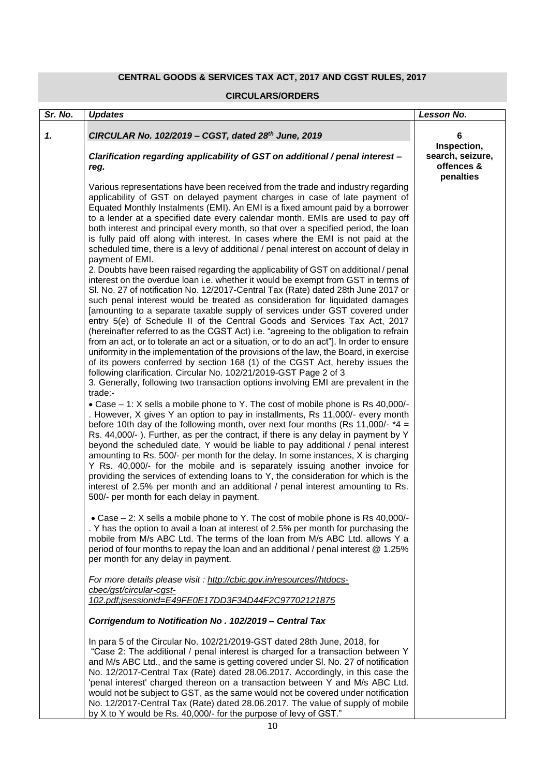## **CENTRAL GOODS & SERVICES TAX ACT, 2017 AND CGST RULES, 2017**

#### **CIRCULARS/ORDERS**

| Sr. No. | <b>Updates</b>                                                                                                                                                                                                                                                                                                                                                                                                                                                                                                                                                                                                                                                                                                                                                                                                                                                                                                                                                                                                                                                                                                                                                                                                                                                                                                                                                                                                                                                                                                                                                                            | Lesson No.                                                 |
|---------|-------------------------------------------------------------------------------------------------------------------------------------------------------------------------------------------------------------------------------------------------------------------------------------------------------------------------------------------------------------------------------------------------------------------------------------------------------------------------------------------------------------------------------------------------------------------------------------------------------------------------------------------------------------------------------------------------------------------------------------------------------------------------------------------------------------------------------------------------------------------------------------------------------------------------------------------------------------------------------------------------------------------------------------------------------------------------------------------------------------------------------------------------------------------------------------------------------------------------------------------------------------------------------------------------------------------------------------------------------------------------------------------------------------------------------------------------------------------------------------------------------------------------------------------------------------------------------------------|------------------------------------------------------------|
| 1.      | CIRCULAR No. 102/2019 - CGST, dated 28th June, 2019                                                                                                                                                                                                                                                                                                                                                                                                                                                                                                                                                                                                                                                                                                                                                                                                                                                                                                                                                                                                                                                                                                                                                                                                                                                                                                                                                                                                                                                                                                                                       | 6                                                          |
|         | Clarification regarding applicability of GST on additional / penal interest -<br>reg.                                                                                                                                                                                                                                                                                                                                                                                                                                                                                                                                                                                                                                                                                                                                                                                                                                                                                                                                                                                                                                                                                                                                                                                                                                                                                                                                                                                                                                                                                                     | Inspection,<br>search, seizure,<br>offences &<br>penalties |
|         | Various representations have been received from the trade and industry regarding<br>applicability of GST on delayed payment charges in case of late payment of<br>Equated Monthly Instalments (EMI). An EMI is a fixed amount paid by a borrower<br>to a lender at a specified date every calendar month. EMIs are used to pay off<br>both interest and principal every month, so that over a specified period, the loan<br>is fully paid off along with interest. In cases where the EMI is not paid at the<br>scheduled time, there is a levy of additional / penal interest on account of delay in                                                                                                                                                                                                                                                                                                                                                                                                                                                                                                                                                                                                                                                                                                                                                                                                                                                                                                                                                                                     |                                                            |
|         | payment of EMI.<br>2. Doubts have been raised regarding the applicability of GST on additional / penal<br>interest on the overdue loan i.e. whether it would be exempt from GST in terms of<br>SI. No. 27 of notification No. 12/2017-Central Tax (Rate) dated 28th June 2017 or<br>such penal interest would be treated as consideration for liquidated damages<br>[amounting to a separate taxable supply of services under GST covered under<br>entry 5(e) of Schedule II of the Central Goods and Services Tax Act, 2017<br>(hereinafter referred to as the CGST Act) i.e. "agreeing to the obligation to refrain<br>from an act, or to tolerate an act or a situation, or to do an act"]. In order to ensure<br>uniformity in the implementation of the provisions of the law, the Board, in exercise<br>of its powers conferred by section 168 (1) of the CGST Act, hereby issues the<br>following clarification. Circular No. 102/21/2019-GST Page 2 of 3<br>3. Generally, following two transaction options involving EMI are prevalent in the<br>trade:-<br>• Case – 1: X sells a mobile phone to Y. The cost of mobile phone is Rs 40,000/-<br>. However, X gives Y an option to pay in installments, Rs 11,000/- every month<br>before 10th day of the following month, over next four months (Rs 11,000/- $*4 =$<br>Rs. 44,000/-). Further, as per the contract, if there is any delay in payment by Y<br>beyond the scheduled date, Y would be liable to pay additional / penal interest<br>amounting to Rs. 500/- per month for the delay. In some instances, X is charging |                                                            |
|         | Y Rs. 40,000/- for the mobile and is separately issuing another invoice for<br>providing the services of extending loans to Y, the consideration for which is the<br>interest of 2.5% per month and an additional / penal interest amounting to Rs.<br>500/- per month for each delay in payment.                                                                                                                                                                                                                                                                                                                                                                                                                                                                                                                                                                                                                                                                                                                                                                                                                                                                                                                                                                                                                                                                                                                                                                                                                                                                                         |                                                            |
|         | • Case – 2: X sells a mobile phone to Y. The cost of mobile phone is Rs 40,000/-<br>. Y has the option to avail a loan at interest of 2.5% per month for purchasing the<br>mobile from M/s ABC Ltd. The terms of the loan from M/s ABC Ltd. allows Y a<br>period of four months to repay the loan and an additional / penal interest @ 1.25%<br>per month for any delay in payment.                                                                                                                                                                                                                                                                                                                                                                                                                                                                                                                                                                                                                                                                                                                                                                                                                                                                                                                                                                                                                                                                                                                                                                                                       |                                                            |
|         | For more details please visit: http://cbic.gov.in/resources//htdocs-<br>cbec/gst/circular-cgst-                                                                                                                                                                                                                                                                                                                                                                                                                                                                                                                                                                                                                                                                                                                                                                                                                                                                                                                                                                                                                                                                                                                                                                                                                                                                                                                                                                                                                                                                                           |                                                            |
|         | 102.pdf;jsessionid=E49FE0E17DD3F34D44F2C97702121875                                                                                                                                                                                                                                                                                                                                                                                                                                                                                                                                                                                                                                                                                                                                                                                                                                                                                                                                                                                                                                                                                                                                                                                                                                                                                                                                                                                                                                                                                                                                       |                                                            |
|         | Corrigendum to Notification No. 102/2019 - Central Tax                                                                                                                                                                                                                                                                                                                                                                                                                                                                                                                                                                                                                                                                                                                                                                                                                                                                                                                                                                                                                                                                                                                                                                                                                                                                                                                                                                                                                                                                                                                                    |                                                            |
|         | In para 5 of the Circular No. 102/21/2019-GST dated 28th June, 2018, for<br>"Case 2: The additional / penal interest is charged for a transaction between Y<br>and M/s ABC Ltd., and the same is getting covered under SI. No. 27 of notification<br>No. 12/2017-Central Tax (Rate) dated 28.06.2017. Accordingly, in this case the<br>'penal interest' charged thereon on a transaction between Y and M/s ABC Ltd.<br>would not be subject to GST, as the same would not be covered under notification<br>No. 12/2017-Central Tax (Rate) dated 28.06.2017. The value of supply of mobile<br>by X to Y would be Rs. 40,000/- for the purpose of levy of GST."                                                                                                                                                                                                                                                                                                                                                                                                                                                                                                                                                                                                                                                                                                                                                                                                                                                                                                                             |                                                            |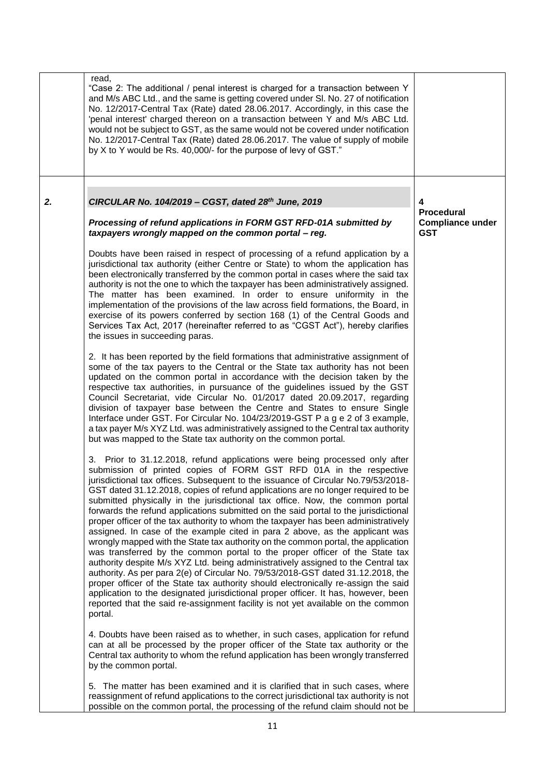|    | read,<br>"Case 2: The additional / penal interest is charged for a transaction between Y<br>and M/s ABC Ltd., and the same is getting covered under SI. No. 27 of notification<br>No. 12/2017-Central Tax (Rate) dated 28.06.2017. Accordingly, in this case the<br>'penal interest' charged thereon on a transaction between Y and M/s ABC Ltd.<br>would not be subject to GST, as the same would not be covered under notification<br>No. 12/2017-Central Tax (Rate) dated 28.06.2017. The value of supply of mobile<br>by X to Y would be Rs. 40,000/- for the purpose of levy of GST."                                                                                                                                                                                                                                                                                                                                                                                                                                                                                                                                                                                                                                                                                                       |                                                                 |
|----|--------------------------------------------------------------------------------------------------------------------------------------------------------------------------------------------------------------------------------------------------------------------------------------------------------------------------------------------------------------------------------------------------------------------------------------------------------------------------------------------------------------------------------------------------------------------------------------------------------------------------------------------------------------------------------------------------------------------------------------------------------------------------------------------------------------------------------------------------------------------------------------------------------------------------------------------------------------------------------------------------------------------------------------------------------------------------------------------------------------------------------------------------------------------------------------------------------------------------------------------------------------------------------------------------|-----------------------------------------------------------------|
| 2. | CIRCULAR No. 104/2019 - CGST, dated 28th June, 2019<br>Processing of refund applications in FORM GST RFD-01A submitted by<br>taxpayers wrongly mapped on the common portal - reg.                                                                                                                                                                                                                                                                                                                                                                                                                                                                                                                                                                                                                                                                                                                                                                                                                                                                                                                                                                                                                                                                                                                | 4<br><b>Procedural</b><br><b>Compliance under</b><br><b>GST</b> |
|    | Doubts have been raised in respect of processing of a refund application by a<br>jurisdictional tax authority (either Centre or State) to whom the application has<br>been electronically transferred by the common portal in cases where the said tax<br>authority is not the one to which the taxpayer has been administratively assigned.<br>The matter has been examined. In order to ensure uniformity in the<br>implementation of the provisions of the law across field formations, the Board, in<br>exercise of its powers conferred by section 168 (1) of the Central Goods and<br>Services Tax Act, 2017 (hereinafter referred to as "CGST Act"), hereby clarifies<br>the issues in succeeding paras.                                                                                                                                                                                                                                                                                                                                                                                                                                                                                                                                                                                  |                                                                 |
|    | 2. It has been reported by the field formations that administrative assignment of<br>some of the tax payers to the Central or the State tax authority has not been<br>updated on the common portal in accordance with the decision taken by the<br>respective tax authorities, in pursuance of the guidelines issued by the GST<br>Council Secretariat, vide Circular No. 01/2017 dated 20.09.2017, regarding<br>division of taxpayer base between the Centre and States to ensure Single<br>Interface under GST. For Circular No. 104/23/2019-GST P a g e 2 of 3 example,<br>a tax payer M/s XYZ Ltd. was administratively assigned to the Central tax authority<br>but was mapped to the State tax authority on the common portal.                                                                                                                                                                                                                                                                                                                                                                                                                                                                                                                                                             |                                                                 |
|    | 3. Prior to 31.12.2018, refund applications were being processed only after<br>submission of printed copies of FORM GST RFD 01A in the respective<br>jurisdictional tax offices. Subsequent to the issuance of Circular No.79/53/2018-<br>GST dated 31.12.2018, copies of refund applications are no longer required to be<br>submitted physically in the jurisdictional tax office. Now, the common portal<br>forwards the refund applications submitted on the said portal to the jurisdictional<br>proper officer of the tax authority to whom the taxpayer has been administratively<br>assigned. In case of the example cited in para 2 above, as the applicant was<br>wrongly mapped with the State tax authority on the common portal, the application<br>was transferred by the common portal to the proper officer of the State tax<br>authority despite M/s XYZ Ltd. being administratively assigned to the Central tax<br>authority. As per para 2(e) of Circular No. 79/53/2018-GST dated 31.12.2018, the<br>proper officer of the State tax authority should electronically re-assign the said<br>application to the designated jurisdictional proper officer. It has, however, been<br>reported that the said re-assignment facility is not yet available on the common<br>portal. |                                                                 |
|    | 4. Doubts have been raised as to whether, in such cases, application for refund<br>can at all be processed by the proper officer of the State tax authority or the<br>Central tax authority to whom the refund application has been wrongly transferred<br>by the common portal.<br>5. The matter has been examined and it is clarified that in such cases, where<br>reassignment of refund applications to the correct jurisdictional tax authority is not<br>possible on the common portal, the processing of the refund claim should not be                                                                                                                                                                                                                                                                                                                                                                                                                                                                                                                                                                                                                                                                                                                                                   |                                                                 |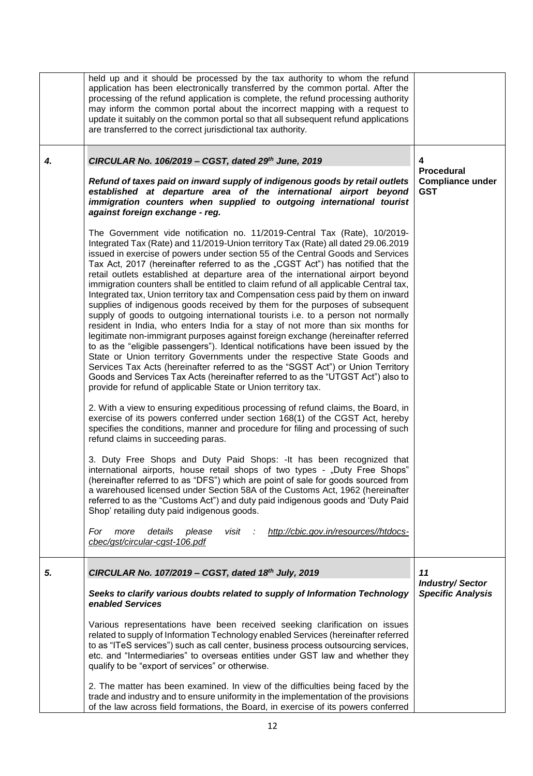|    | held up and it should be processed by the tax authority to whom the refund<br>application has been electronically transferred by the common portal. After the<br>processing of the refund application is complete, the refund processing authority<br>may inform the common portal about the incorrect mapping with a request to<br>update it suitably on the common portal so that all subsequent refund applications<br>are transferred to the correct jurisdictional tax authority.                                                                                                                                                                                                                                                                                                                                                                                                                                                                                                                                                                                                                                                                                                                                                                                                                                                                                                                                                                                                                                            |                                                          |
|----|-----------------------------------------------------------------------------------------------------------------------------------------------------------------------------------------------------------------------------------------------------------------------------------------------------------------------------------------------------------------------------------------------------------------------------------------------------------------------------------------------------------------------------------------------------------------------------------------------------------------------------------------------------------------------------------------------------------------------------------------------------------------------------------------------------------------------------------------------------------------------------------------------------------------------------------------------------------------------------------------------------------------------------------------------------------------------------------------------------------------------------------------------------------------------------------------------------------------------------------------------------------------------------------------------------------------------------------------------------------------------------------------------------------------------------------------------------------------------------------------------------------------------------------|----------------------------------------------------------|
| 4. | CIRCULAR No. 106/2019 - CGST, dated 29th June, 2019<br>Refund of taxes paid on inward supply of indigenous goods by retail outlets<br>established at departure area of the international airport beyond<br>immigration counters when supplied to outgoing international tourist<br>against foreign exchange - reg.                                                                                                                                                                                                                                                                                                                                                                                                                                                                                                                                                                                                                                                                                                                                                                                                                                                                                                                                                                                                                                                                                                                                                                                                                | 4<br>Procedural<br><b>Compliance under</b><br><b>GST</b> |
|    | The Government vide notification no. 11/2019-Central Tax (Rate), 10/2019-<br>Integrated Tax (Rate) and 11/2019-Union territory Tax (Rate) all dated 29.06.2019<br>issued in exercise of powers under section 55 of the Central Goods and Services<br>Tax Act, 2017 (hereinafter referred to as the "CGST Act") has notified that the<br>retail outlets established at departure area of the international airport beyond<br>immigration counters shall be entitled to claim refund of all applicable Central tax,<br>Integrated tax, Union territory tax and Compensation cess paid by them on inward<br>supplies of indigenous goods received by them for the purposes of subsequent<br>supply of goods to outgoing international tourists i.e. to a person not normally<br>resident in India, who enters India for a stay of not more than six months for<br>legitimate non-immigrant purposes against foreign exchange (hereinafter referred<br>to as the "eligible passengers"). Identical notifications have been issued by the<br>State or Union territory Governments under the respective State Goods and<br>Services Tax Acts (hereinafter referred to as the "SGST Act") or Union Territory<br>Goods and Services Tax Acts (hereinafter referred to as the "UTGST Act") also to<br>provide for refund of applicable State or Union territory tax.<br>2. With a view to ensuring expeditious processing of refund claims, the Board, in<br>exercise of its powers conferred under section 168(1) of the CGST Act, hereby |                                                          |
|    | specifies the conditions, manner and procedure for filing and processing of such<br>refund claims in succeeding paras.<br>3. Duty Free Shops and Duty Paid Shops: - It has been recognized that<br>international airports, house retail shops of two types - "Duty Free Shops"<br>(hereinafter referred to as "DFS") which are point of sale for goods sourced from<br>a warehoused licensed under Section 58A of the Customs Act, 1962 (hereinafter<br>referred to as the "Customs Act") and duty paid indigenous goods and 'Duty Paid<br>Shop' retailing duty paid indigenous goods.<br>details<br>http://cbic.gov.in/resources//htdocs-<br>For<br>more<br>please<br>visit<br>÷<br>cbec/gst/circular-cgst-106.pdf                                                                                                                                                                                                                                                                                                                                                                                                                                                                                                                                                                                                                                                                                                                                                                                                               |                                                          |
| 5. | CIRCULAR No. 107/2019 - CGST, dated 18th July, 2019                                                                                                                                                                                                                                                                                                                                                                                                                                                                                                                                                                                                                                                                                                                                                                                                                                                                                                                                                                                                                                                                                                                                                                                                                                                                                                                                                                                                                                                                               | 11                                                       |
|    | Seeks to clarify various doubts related to supply of Information Technology<br>enabled Services                                                                                                                                                                                                                                                                                                                                                                                                                                                                                                                                                                                                                                                                                                                                                                                                                                                                                                                                                                                                                                                                                                                                                                                                                                                                                                                                                                                                                                   | <b>Industry/Sector</b><br><b>Specific Analysis</b>       |
|    | Various representations have been received seeking clarification on issues<br>related to supply of Information Technology enabled Services (hereinafter referred<br>to as "ITeS services") such as call center, business process outsourcing services,<br>etc. and "Intermediaries" to overseas entities under GST law and whether they<br>qualify to be "export of services" or otherwise.                                                                                                                                                                                                                                                                                                                                                                                                                                                                                                                                                                                                                                                                                                                                                                                                                                                                                                                                                                                                                                                                                                                                       |                                                          |
|    | 2. The matter has been examined. In view of the difficulties being faced by the<br>trade and industry and to ensure uniformity in the implementation of the provisions<br>of the law across field formations, the Board, in exercise of its powers conferred                                                                                                                                                                                                                                                                                                                                                                                                                                                                                                                                                                                                                                                                                                                                                                                                                                                                                                                                                                                                                                                                                                                                                                                                                                                                      |                                                          |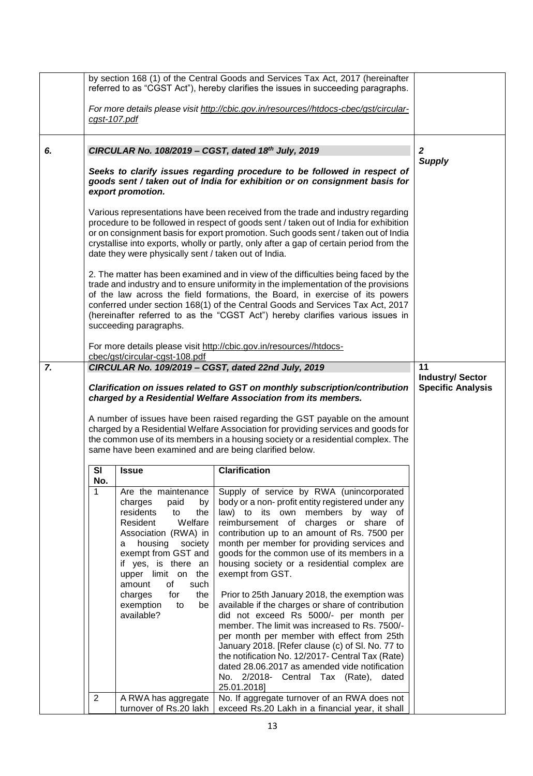|                                                                                                                                                                                                                                                                                                                                                                                                                                                                                                                                                                | by section 168 (1) of the Central Goods and Services Tax Act, 2017 (hereinafter<br>referred to as "CGST Act"), hereby clarifies the issues in succeeding paragraphs. |                                                                                                                                                                                                                                                                                                                                     |                                                                                                                                                                                                                                                                                                                                                                                                                                                                                                                                                                                                                                                                                                                                                                                                                                                                                                                     |                                                          |
|----------------------------------------------------------------------------------------------------------------------------------------------------------------------------------------------------------------------------------------------------------------------------------------------------------------------------------------------------------------------------------------------------------------------------------------------------------------------------------------------------------------------------------------------------------------|----------------------------------------------------------------------------------------------------------------------------------------------------------------------|-------------------------------------------------------------------------------------------------------------------------------------------------------------------------------------------------------------------------------------------------------------------------------------------------------------------------------------|---------------------------------------------------------------------------------------------------------------------------------------------------------------------------------------------------------------------------------------------------------------------------------------------------------------------------------------------------------------------------------------------------------------------------------------------------------------------------------------------------------------------------------------------------------------------------------------------------------------------------------------------------------------------------------------------------------------------------------------------------------------------------------------------------------------------------------------------------------------------------------------------------------------------|----------------------------------------------------------|
|                                                                                                                                                                                                                                                                                                                                                                                                                                                                                                                                                                |                                                                                                                                                                      | cgst-107.pdf                                                                                                                                                                                                                                                                                                                        | For more details please visit http://cbic.gov.in/resources//htdocs-cbec/gst/circular-                                                                                                                                                                                                                                                                                                                                                                                                                                                                                                                                                                                                                                                                                                                                                                                                                               |                                                          |
| 6.                                                                                                                                                                                                                                                                                                                                                                                                                                                                                                                                                             |                                                                                                                                                                      |                                                                                                                                                                                                                                                                                                                                     | CIRCULAR No. 108/2019 - CGST, dated 18th July, 2019                                                                                                                                                                                                                                                                                                                                                                                                                                                                                                                                                                                                                                                                                                                                                                                                                                                                 | $\mathbf{2}$<br><b>Supply</b>                            |
|                                                                                                                                                                                                                                                                                                                                                                                                                                                                                                                                                                |                                                                                                                                                                      | export promotion.                                                                                                                                                                                                                                                                                                                   | Seeks to clarify issues regarding procedure to be followed in respect of<br>goods sent / taken out of India for exhibition or on consignment basis for                                                                                                                                                                                                                                                                                                                                                                                                                                                                                                                                                                                                                                                                                                                                                              |                                                          |
|                                                                                                                                                                                                                                                                                                                                                                                                                                                                                                                                                                |                                                                                                                                                                      | date they were physically sent / taken out of India.                                                                                                                                                                                                                                                                                | Various representations have been received from the trade and industry regarding<br>procedure to be followed in respect of goods sent / taken out of India for exhibition<br>or on consignment basis for export promotion. Such goods sent / taken out of India<br>crystallise into exports, wholly or partly, only after a gap of certain period from the                                                                                                                                                                                                                                                                                                                                                                                                                                                                                                                                                          |                                                          |
|                                                                                                                                                                                                                                                                                                                                                                                                                                                                                                                                                                |                                                                                                                                                                      | succeeding paragraphs.                                                                                                                                                                                                                                                                                                              | 2. The matter has been examined and in view of the difficulties being faced by the<br>trade and industry and to ensure uniformity in the implementation of the provisions<br>of the law across the field formations, the Board, in exercise of its powers<br>conferred under section 168(1) of the Central Goods and Services Tax Act, 2017<br>(hereinafter referred to as the "CGST Act") hereby clarifies various issues in                                                                                                                                                                                                                                                                                                                                                                                                                                                                                       |                                                          |
|                                                                                                                                                                                                                                                                                                                                                                                                                                                                                                                                                                |                                                                                                                                                                      |                                                                                                                                                                                                                                                                                                                                     | For more details please visit http://cbic.gov.in/resources//htdocs-                                                                                                                                                                                                                                                                                                                                                                                                                                                                                                                                                                                                                                                                                                                                                                                                                                                 |                                                          |
| cbec/gst/circular-cgst-108.pdf<br>7.<br>CIRCULAR No. 109/2019 - CGST, dated 22nd July, 2019<br>Clarification on issues related to GST on monthly subscription/contribution<br>charged by a Residential Welfare Association from its members.<br>A number of issues have been raised regarding the GST payable on the amount<br>charged by a Residential Welfare Association for providing services and goods for<br>the common use of its members in a housing society or a residential complex. The<br>same have been examined and are being clarified below. |                                                                                                                                                                      |                                                                                                                                                                                                                                                                                                                                     |                                                                                                                                                                                                                                                                                                                                                                                                                                                                                                                                                                                                                                                                                                                                                                                                                                                                                                                     | 11<br><b>Industry/Sector</b><br><b>Specific Analysis</b> |
|                                                                                                                                                                                                                                                                                                                                                                                                                                                                                                                                                                | SI<br>No.                                                                                                                                                            | <b>Issue</b>                                                                                                                                                                                                                                                                                                                        | <b>Clarification</b>                                                                                                                                                                                                                                                                                                                                                                                                                                                                                                                                                                                                                                                                                                                                                                                                                                                                                                |                                                          |
|                                                                                                                                                                                                                                                                                                                                                                                                                                                                                                                                                                | 1<br>$\overline{2}$                                                                                                                                                  | Are the maintenance<br>charges<br>paid<br>by<br>residents<br>to<br>the<br>Welfare<br>Resident<br>Association (RWA) in<br>housing<br>society<br>a<br>exempt from GST and<br>if yes, is there an<br>upper limit on the<br>of<br>such<br>amount<br>charges<br>for<br>the<br>exemption<br>to<br>be<br>available?<br>A RWA has aggregate | Supply of service by RWA (unincorporated<br>body or a non- profit entity registered under any<br>law) to its own members by way of<br>reimbursement of charges or share<br>0f<br>contribution up to an amount of Rs. 7500 per<br>month per member for providing services and<br>goods for the common use of its members in a<br>housing society or a residential complex are<br>exempt from GST.<br>Prior to 25th January 2018, the exemption was<br>available if the charges or share of contribution<br>did not exceed Rs 5000/- per month per<br>member. The limit was increased to Rs. 7500/-<br>per month per member with effect from 25th<br>January 2018. [Refer clause (c) of SI. No. 77 to<br>the notification No. 12/2017- Central Tax (Rate)<br>dated 28.06.2017 as amended vide notification<br>No. 2/2018- Central Tax (Rate),<br>dated<br>25.01.2018]<br>No. If aggregate turnover of an RWA does not |                                                          |
|                                                                                                                                                                                                                                                                                                                                                                                                                                                                                                                                                                |                                                                                                                                                                      | turnover of Rs.20 lakh                                                                                                                                                                                                                                                                                                              | exceed Rs.20 Lakh in a financial year, it shall                                                                                                                                                                                                                                                                                                                                                                                                                                                                                                                                                                                                                                                                                                                                                                                                                                                                     |                                                          |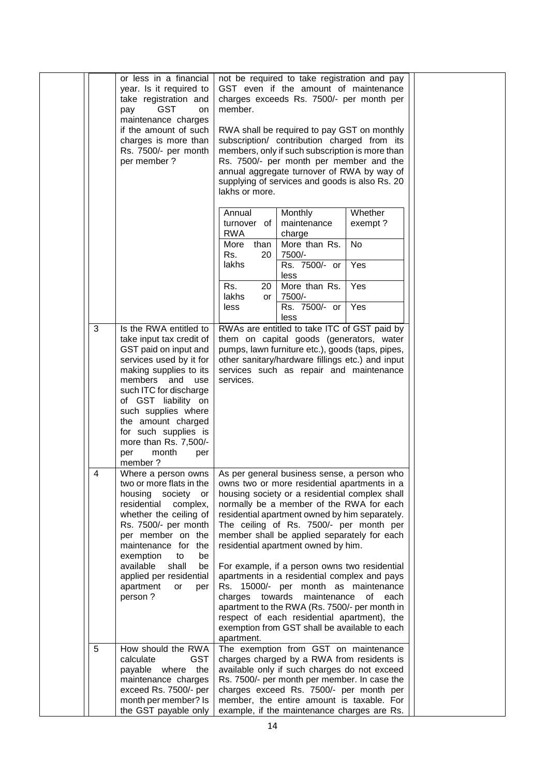|   | or less in a financial<br>year. Is it required to<br>take registration and<br><b>GST</b><br>pay<br>on<br>maintenance charges<br>if the amount of such<br>charges is more than<br>Rs. 7500/- per month<br>per member ?                                                                                                                   | not be required to take registration and pay<br>GST even if the amount of maintenance<br>charges exceeds Rs. 7500/- per month per<br>member.<br>RWA shall be required to pay GST on monthly<br>subscription/ contribution charged from its<br>members, only if such subscription is more than<br>Rs. 7500/- per month per member and the<br>annual aggregate turnover of RWA by way of<br>supplying of services and goods is also Rs. 20<br>lakhs or more.                                                                                                                                                                                                                                                                           |  |
|---|-----------------------------------------------------------------------------------------------------------------------------------------------------------------------------------------------------------------------------------------------------------------------------------------------------------------------------------------|--------------------------------------------------------------------------------------------------------------------------------------------------------------------------------------------------------------------------------------------------------------------------------------------------------------------------------------------------------------------------------------------------------------------------------------------------------------------------------------------------------------------------------------------------------------------------------------------------------------------------------------------------------------------------------------------------------------------------------------|--|
|   |                                                                                                                                                                                                                                                                                                                                         | Whether<br>Annual<br>Monthly<br>maintenance<br>exempt?<br>turnover of<br><b>RWA</b><br>charge<br>More than Rs.<br>No<br>More<br>than<br>7500/-<br>Rs.<br>20<br>lakhs<br>Yes<br>Rs. 7500/- or<br>less<br>Yes<br>More than Rs.<br>Rs.<br>20<br>lakhs<br>7500/-<br>or<br>Yes<br>Rs. 7500/- or<br>less                                                                                                                                                                                                                                                                                                                                                                                                                                   |  |
| 3 | Is the RWA entitled to<br>take input tax credit of<br>GST paid on input and<br>services used by it for<br>making supplies to its<br>members and<br>use<br>such ITC for discharge<br>of GST liability on<br>such supplies where<br>the amount charged<br>for such supplies is<br>more than Rs. 7,500/-<br>month<br>per<br>per<br>member? | less<br>RWAs are entitled to take ITC of GST paid by<br>them on capital goods (generators, water<br>pumps, lawn furniture etc.), goods (taps, pipes,<br>other sanitary/hardware fillings etc.) and input<br>services such as repair and maintenance<br>services.                                                                                                                                                                                                                                                                                                                                                                                                                                                                     |  |
| 4 | Where a person owns<br>two or more flats in the<br>society<br>housing<br>or<br>residential<br>complex,<br>whether the ceiling of<br>Rs. 7500/- per month<br>per member on the<br>maintenance for the<br>exemption<br>to<br>be<br>available<br>shall<br>be<br>applied per residential<br>apartment<br>or<br>per<br>person?               | As per general business sense, a person who<br>owns two or more residential apartments in a<br>housing society or a residential complex shall<br>normally be a member of the RWA for each<br>residential apartment owned by him separately.<br>The ceiling of Rs. 7500/- per month per<br>member shall be applied separately for each<br>residential apartment owned by him.<br>For example, if a person owns two residential<br>apartments in a residential complex and pays<br>Rs. 15000/- per month as maintenance<br>charges<br>towards<br>maintenance<br>of each<br>apartment to the RWA (Rs. 7500/- per month in<br>respect of each residential apartment), the<br>exemption from GST shall be available to each<br>apartment. |  |
| 5 | How should the RWA<br>calculate<br><b>GST</b><br>payable where the<br>maintenance charges<br>exceed Rs. 7500/- per<br>month per member? Is<br>the GST payable only                                                                                                                                                                      | The exemption from GST on maintenance<br>charges charged by a RWA from residents is<br>available only if such charges do not exceed<br>Rs. 7500/- per month per member. In case the<br>charges exceed Rs. 7500/- per month per<br>member, the entire amount is taxable. For<br>example, if the maintenance charges are Rs.                                                                                                                                                                                                                                                                                                                                                                                                           |  |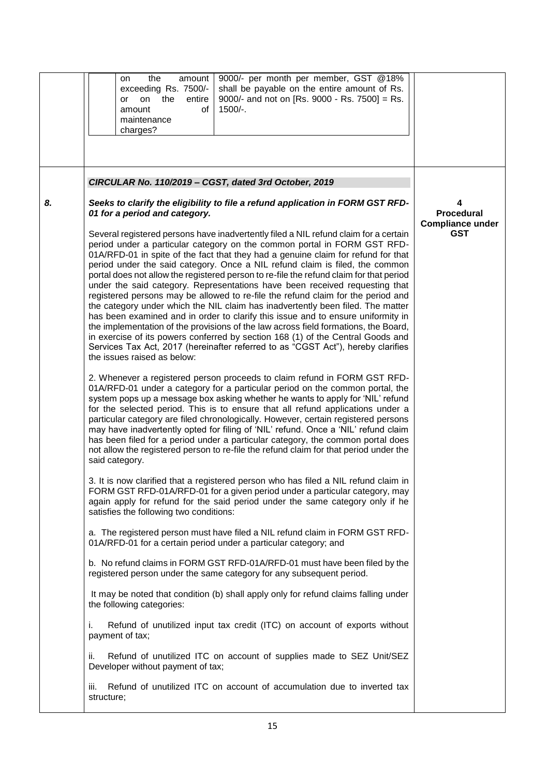|    | 9000/- per month per member, GST @18%<br>the<br>amount<br>on<br>shall be payable on the entire amount of Rs.<br>exceeding Rs. 7500/-<br>9000/- and not on [Rs. 9000 - Rs. 7500] = Rs.<br>the<br>entire<br>on<br>or<br>of<br>$1500/-$ .<br>amount<br>maintenance<br>charges?                                                                                                                                                                                                                                                                                                                                                                                                                                                                                                                                                                                                                                                                                                                                                                                                                                                                                                                                                                                                                                                                                                                                                                                                                                                                                                                                                                                                                                                                                                                                                                                                                                                                                                                                                                                                                                                                                                                                                                                                                                                                                                                                                                                                                                                                                                                                                                                                                                                                                                                                                                                                                                                                          |                                                            |
|----|------------------------------------------------------------------------------------------------------------------------------------------------------------------------------------------------------------------------------------------------------------------------------------------------------------------------------------------------------------------------------------------------------------------------------------------------------------------------------------------------------------------------------------------------------------------------------------------------------------------------------------------------------------------------------------------------------------------------------------------------------------------------------------------------------------------------------------------------------------------------------------------------------------------------------------------------------------------------------------------------------------------------------------------------------------------------------------------------------------------------------------------------------------------------------------------------------------------------------------------------------------------------------------------------------------------------------------------------------------------------------------------------------------------------------------------------------------------------------------------------------------------------------------------------------------------------------------------------------------------------------------------------------------------------------------------------------------------------------------------------------------------------------------------------------------------------------------------------------------------------------------------------------------------------------------------------------------------------------------------------------------------------------------------------------------------------------------------------------------------------------------------------------------------------------------------------------------------------------------------------------------------------------------------------------------------------------------------------------------------------------------------------------------------------------------------------------------------------------------------------------------------------------------------------------------------------------------------------------------------------------------------------------------------------------------------------------------------------------------------------------------------------------------------------------------------------------------------------------------------------------------------------------------------------------------------------------|------------------------------------------------------------|
|    | CIRCULAR No. 110/2019 - CGST, dated 3rd October, 2019                                                                                                                                                                                                                                                                                                                                                                                                                                                                                                                                                                                                                                                                                                                                                                                                                                                                                                                                                                                                                                                                                                                                                                                                                                                                                                                                                                                                                                                                                                                                                                                                                                                                                                                                                                                                                                                                                                                                                                                                                                                                                                                                                                                                                                                                                                                                                                                                                                                                                                                                                                                                                                                                                                                                                                                                                                                                                                |                                                            |
| 8. | Seeks to clarify the eligibility to file a refund application in FORM GST RFD-<br>01 for a period and category.<br>Several registered persons have inadvertently filed a NIL refund claim for a certain<br>period under a particular category on the common portal in FORM GST RFD-<br>01A/RFD-01 in spite of the fact that they had a genuine claim for refund for that<br>period under the said category. Once a NIL refund claim is filed, the common<br>portal does not allow the registered person to re-file the refund claim for that period<br>under the said category. Representations have been received requesting that<br>registered persons may be allowed to re-file the refund claim for the period and<br>the category under which the NIL claim has inadvertently been filed. The matter<br>has been examined and in order to clarify this issue and to ensure uniformity in<br>the implementation of the provisions of the law across field formations, the Board,<br>in exercise of its powers conferred by section 168 (1) of the Central Goods and<br>Services Tax Act, 2017 (hereinafter referred to as "CGST Act"), hereby clarifies<br>the issues raised as below:<br>2. Whenever a registered person proceeds to claim refund in FORM GST RFD-<br>01A/RFD-01 under a category for a particular period on the common portal, the<br>system pops up a message box asking whether he wants to apply for 'NIL' refund<br>for the selected period. This is to ensure that all refund applications under a<br>particular category are filed chronologically. However, certain registered persons<br>may have inadvertently opted for filing of 'NIL' refund. Once a 'NIL' refund claim<br>has been filed for a period under a particular category, the common portal does<br>not allow the registered person to re-file the refund claim for that period under the<br>said category.<br>3. It is now clarified that a registered person who has filed a NIL refund claim in<br>FORM GST RFD-01A/RFD-01 for a given period under a particular category, may<br>again apply for refund for the said period under the same category only if he<br>satisfies the following two conditions:<br>a. The registered person must have filed a NIL refund claim in FORM GST RFD-<br>01A/RFD-01 for a certain period under a particular category; and<br>b. No refund claims in FORM GST RFD-01A/RFD-01 must have been filed by the<br>registered person under the same category for any subsequent period.<br>It may be noted that condition (b) shall apply only for refund claims falling under<br>the following categories:<br>i.<br>Refund of unutilized input tax credit (ITC) on account of exports without<br>payment of tax;<br>Refund of unutilized ITC on account of supplies made to SEZ Unit/SEZ<br>ii.<br>Developer without payment of tax;<br>Refund of unutilized ITC on account of accumulation due to inverted tax<br>iii. | <b>Procedural</b><br><b>Compliance under</b><br><b>GST</b> |
|    | structure;                                                                                                                                                                                                                                                                                                                                                                                                                                                                                                                                                                                                                                                                                                                                                                                                                                                                                                                                                                                                                                                                                                                                                                                                                                                                                                                                                                                                                                                                                                                                                                                                                                                                                                                                                                                                                                                                                                                                                                                                                                                                                                                                                                                                                                                                                                                                                                                                                                                                                                                                                                                                                                                                                                                                                                                                                                                                                                                                           |                                                            |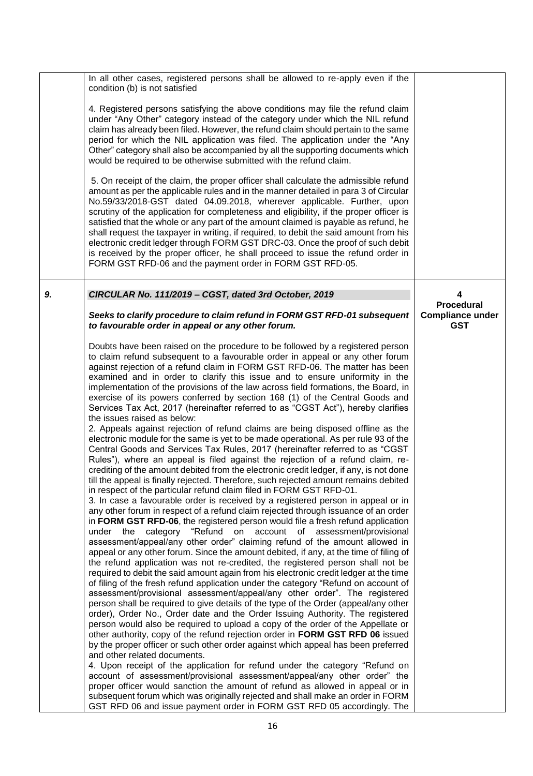|    | In all other cases, registered persons shall be allowed to re-apply even if the<br>condition (b) is not satisfied                                                                                                                                                                                                                                                                                                                                                                                                                                                                                                                                                                                                                                                                                                                                                                                                                                                                                                                                                                                                                                                                                                                                                                                                                                                                                                                                                                                                                                                                                                                                                                                                                                                                                                                                                                                                                                                                                                                                                                                                                                                                                                                                                                                                                                                                                                                                                                                                                                                                                                                                                                                                                                                                                                                                                                                                                                          |                                                            |
|----|------------------------------------------------------------------------------------------------------------------------------------------------------------------------------------------------------------------------------------------------------------------------------------------------------------------------------------------------------------------------------------------------------------------------------------------------------------------------------------------------------------------------------------------------------------------------------------------------------------------------------------------------------------------------------------------------------------------------------------------------------------------------------------------------------------------------------------------------------------------------------------------------------------------------------------------------------------------------------------------------------------------------------------------------------------------------------------------------------------------------------------------------------------------------------------------------------------------------------------------------------------------------------------------------------------------------------------------------------------------------------------------------------------------------------------------------------------------------------------------------------------------------------------------------------------------------------------------------------------------------------------------------------------------------------------------------------------------------------------------------------------------------------------------------------------------------------------------------------------------------------------------------------------------------------------------------------------------------------------------------------------------------------------------------------------------------------------------------------------------------------------------------------------------------------------------------------------------------------------------------------------------------------------------------------------------------------------------------------------------------------------------------------------------------------------------------------------------------------------------------------------------------------------------------------------------------------------------------------------------------------------------------------------------------------------------------------------------------------------------------------------------------------------------------------------------------------------------------------------------------------------------------------------------------------------------------------------|------------------------------------------------------------|
|    | 4. Registered persons satisfying the above conditions may file the refund claim<br>under "Any Other" category instead of the category under which the NIL refund<br>claim has already been filed. However, the refund claim should pertain to the same<br>period for which the NIL application was filed. The application under the "Any<br>Other" category shall also be accompanied by all the supporting documents which<br>would be required to be otherwise submitted with the refund claim.                                                                                                                                                                                                                                                                                                                                                                                                                                                                                                                                                                                                                                                                                                                                                                                                                                                                                                                                                                                                                                                                                                                                                                                                                                                                                                                                                                                                                                                                                                                                                                                                                                                                                                                                                                                                                                                                                                                                                                                                                                                                                                                                                                                                                                                                                                                                                                                                                                                          |                                                            |
|    | 5. On receipt of the claim, the proper officer shall calculate the admissible refund<br>amount as per the applicable rules and in the manner detailed in para 3 of Circular<br>No.59/33/2018-GST dated 04.09.2018, wherever applicable. Further, upon<br>scrutiny of the application for completeness and eligibility, if the proper officer is<br>satisfied that the whole or any part of the amount claimed is payable as refund, he<br>shall request the taxpayer in writing, if required, to debit the said amount from his<br>electronic credit ledger through FORM GST DRC-03. Once the proof of such debit<br>is received by the proper officer, he shall proceed to issue the refund order in<br>FORM GST RFD-06 and the payment order in FORM GST RFD-05.                                                                                                                                                                                                                                                                                                                                                                                                                                                                                                                                                                                                                                                                                                                                                                                                                                                                                                                                                                                                                                                                                                                                                                                                                                                                                                                                                                                                                                                                                                                                                                                                                                                                                                                                                                                                                                                                                                                                                                                                                                                                                                                                                                                         |                                                            |
| 9. | CIRCULAR No. 111/2019 - CGST, dated 3rd October, 2019                                                                                                                                                                                                                                                                                                                                                                                                                                                                                                                                                                                                                                                                                                                                                                                                                                                                                                                                                                                                                                                                                                                                                                                                                                                                                                                                                                                                                                                                                                                                                                                                                                                                                                                                                                                                                                                                                                                                                                                                                                                                                                                                                                                                                                                                                                                                                                                                                                                                                                                                                                                                                                                                                                                                                                                                                                                                                                      | 4                                                          |
|    | Seeks to clarify procedure to claim refund in FORM GST RFD-01 subsequent<br>to favourable order in appeal or any other forum.                                                                                                                                                                                                                                                                                                                                                                                                                                                                                                                                                                                                                                                                                                                                                                                                                                                                                                                                                                                                                                                                                                                                                                                                                                                                                                                                                                                                                                                                                                                                                                                                                                                                                                                                                                                                                                                                                                                                                                                                                                                                                                                                                                                                                                                                                                                                                                                                                                                                                                                                                                                                                                                                                                                                                                                                                              | <b>Procedural</b><br><b>Compliance under</b><br><b>GST</b> |
|    | Doubts have been raised on the procedure to be followed by a registered person<br>to claim refund subsequent to a favourable order in appeal or any other forum<br>against rejection of a refund claim in FORM GST RFD-06. The matter has been<br>examined and in order to clarify this issue and to ensure uniformity in the<br>implementation of the provisions of the law across field formations, the Board, in<br>exercise of its powers conferred by section 168 (1) of the Central Goods and<br>Services Tax Act, 2017 (hereinafter referred to as "CGST Act"), hereby clarifies<br>the issues raised as below:<br>2. Appeals against rejection of refund claims are being disposed offline as the<br>electronic module for the same is yet to be made operational. As per rule 93 of the<br>Central Goods and Services Tax Rules, 2017 (hereinafter referred to as "CGST<br>Rules"), where an appeal is filed against the rejection of a refund claim, re-<br>crediting of the amount debited from the electronic credit ledger, if any, is not done<br>till the appeal is finally rejected. Therefore, such rejected amount remains debited<br>in respect of the particular refund claim filed in FORM GST RFD-01.<br>3. In case a favourable order is received by a registered person in appeal or in<br>any other forum in respect of a refund claim rejected through issuance of an order<br>in FORM GST RFD-06, the registered person would file a fresh refund application<br>under the category "Refund on account of assessment/provisional<br>assessment/appeal/any other order" claiming refund of the amount allowed in<br>appeal or any other forum. Since the amount debited, if any, at the time of filing of<br>the refund application was not re-credited, the registered person shall not be<br>required to debit the said amount again from his electronic credit ledger at the time<br>of filing of the fresh refund application under the category "Refund on account of<br>assessment/provisional assessment/appeal/any other order". The registered<br>person shall be required to give details of the type of the Order (appeal/any other<br>order), Order No., Order date and the Order Issuing Authority. The registered<br>person would also be required to upload a copy of the order of the Appellate or<br>other authority, copy of the refund rejection order in FORM GST RFD 06 issued<br>by the proper officer or such other order against which appeal has been preferred<br>and other related documents.<br>4. Upon receipt of the application for refund under the category "Refund on<br>account of assessment/provisional assessment/appeal/any other order" the<br>proper officer would sanction the amount of refund as allowed in appeal or in<br>subsequent forum which was originally rejected and shall make an order in FORM<br>GST RFD 06 and issue payment order in FORM GST RFD 05 accordingly. The |                                                            |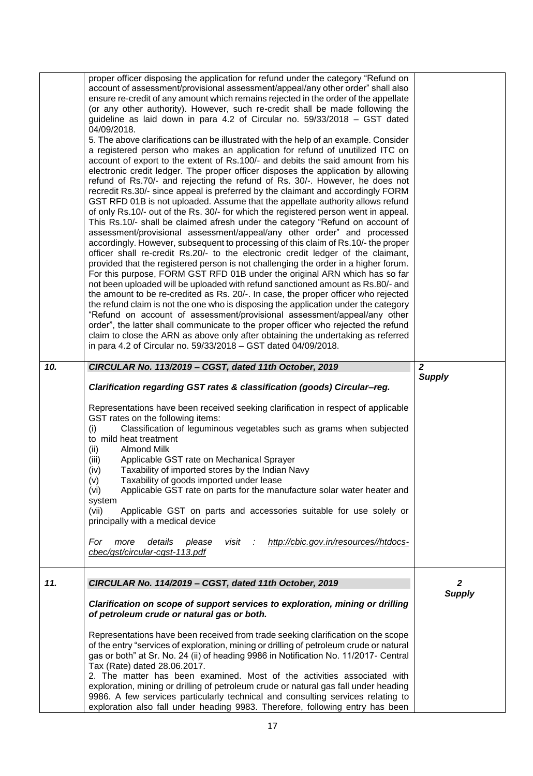|     | proper officer disposing the application for refund under the category "Refund on<br>account of assessment/provisional assessment/appeal/any other order" shall also<br>ensure re-credit of any amount which remains rejected in the order of the appellate<br>(or any other authority). However, such re-credit shall be made following the<br>guideline as laid down in para 4.2 of Circular no. 59/33/2018 - GST dated<br>04/09/2018.<br>5. The above clarifications can be illustrated with the help of an example. Consider<br>a registered person who makes an application for refund of unutilized ITC on<br>account of export to the extent of Rs.100/- and debits the said amount from his<br>electronic credit ledger. The proper officer disposes the application by allowing<br>refund of Rs.70/- and rejecting the refund of Rs. 30/-. However, he does not<br>recredit Rs.30/- since appeal is preferred by the claimant and accordingly FORM<br>GST RFD 01B is not uploaded. Assume that the appellate authority allows refund<br>of only Rs.10/- out of the Rs. 30/- for which the registered person went in appeal.<br>This Rs.10/- shall be claimed afresh under the category "Refund on account of<br>assessment/provisional assessment/appeal/any other order" and processed<br>accordingly. However, subsequent to processing of this claim of Rs.10/- the proper<br>officer shall re-credit Rs.20/- to the electronic credit ledger of the claimant,<br>provided that the registered person is not challenging the order in a higher forum.<br>For this purpose, FORM GST RFD 01B under the original ARN which has so far<br>not been uploaded will be uploaded with refund sanctioned amount as Rs.80/- and<br>the amount to be re-credited as Rs. 20/-. In case, the proper officer who rejected<br>the refund claim is not the one who is disposing the application under the category<br>"Refund on account of assessment/provisional assessment/appeal/any other<br>order", the latter shall communicate to the proper officer who rejected the refund<br>claim to close the ARN as above only after obtaining the undertaking as referred<br>in para 4.2 of Circular no. 59/33/2018 - GST dated 04/09/2018. |                |
|-----|-----------------------------------------------------------------------------------------------------------------------------------------------------------------------------------------------------------------------------------------------------------------------------------------------------------------------------------------------------------------------------------------------------------------------------------------------------------------------------------------------------------------------------------------------------------------------------------------------------------------------------------------------------------------------------------------------------------------------------------------------------------------------------------------------------------------------------------------------------------------------------------------------------------------------------------------------------------------------------------------------------------------------------------------------------------------------------------------------------------------------------------------------------------------------------------------------------------------------------------------------------------------------------------------------------------------------------------------------------------------------------------------------------------------------------------------------------------------------------------------------------------------------------------------------------------------------------------------------------------------------------------------------------------------------------------------------------------------------------------------------------------------------------------------------------------------------------------------------------------------------------------------------------------------------------------------------------------------------------------------------------------------------------------------------------------------------------------------------------------------------------------------------------------------------------------------------------------------------------------------|----------------|
| 10. | CIRCULAR No. 113/2019 - CGST, dated 11th October, 2019                                                                                                                                                                                                                                                                                                                                                                                                                                                                                                                                                                                                                                                                                                                                                                                                                                                                                                                                                                                                                                                                                                                                                                                                                                                                                                                                                                                                                                                                                                                                                                                                                                                                                                                                                                                                                                                                                                                                                                                                                                                                                                                                                                                  | $\overline{2}$ |
|     | Clarification regarding GST rates & classification (goods) Circular-reg.<br>Representations have been received seeking clarification in respect of applicable<br>GST rates on the following items:<br>Classification of leguminous vegetables such as grams when subjected<br>(i)<br>to mild heat treatment<br><b>Almond Milk</b><br>(ii)<br>Applicable GST rate on Mechanical Sprayer<br>(iii)<br>Taxability of imported stores by the Indian Navy<br>(iv)<br>(v)<br>Taxability of goods imported under lease<br>Applicable GST rate on parts for the manufacture solar water heater and<br>(vi)<br>system<br>Applicable GST on parts and accessories suitable for use solely or<br>(vii)<br>principally with a medical device<br>http://cbic.gov.in/resources//htdocs-<br>details<br>For<br>more<br>please<br>visit<br>- 11<br>cbec/gst/circular-cgst-113.pdf                                                                                                                                                                                                                                                                                                                                                                                                                                                                                                                                                                                                                                                                                                                                                                                                                                                                                                                                                                                                                                                                                                                                                                                                                                                                                                                                                                         | <b>Supply</b>  |
| 11. | CIRCULAR No. 114/2019 - CGST, dated 11th October, 2019                                                                                                                                                                                                                                                                                                                                                                                                                                                                                                                                                                                                                                                                                                                                                                                                                                                                                                                                                                                                                                                                                                                                                                                                                                                                                                                                                                                                                                                                                                                                                                                                                                                                                                                                                                                                                                                                                                                                                                                                                                                                                                                                                                                  | 2              |
|     | Clarification on scope of support services to exploration, mining or drilling<br>of petroleum crude or natural gas or both.                                                                                                                                                                                                                                                                                                                                                                                                                                                                                                                                                                                                                                                                                                                                                                                                                                                                                                                                                                                                                                                                                                                                                                                                                                                                                                                                                                                                                                                                                                                                                                                                                                                                                                                                                                                                                                                                                                                                                                                                                                                                                                             | <b>Supply</b>  |
|     | Representations have been received from trade seeking clarification on the scope<br>of the entry "services of exploration, mining or drilling of petroleum crude or natural<br>gas or both" at Sr. No. 24 (ii) of heading 9986 in Notification No. 11/2017- Central<br>Tax (Rate) dated 28.06.2017.<br>2. The matter has been examined. Most of the activities associated with<br>exploration, mining or drilling of petroleum crude or natural gas fall under heading<br>9986. A few services particularly technical and consulting services relating to<br>exploration also fall under heading 9983. Therefore, following entry has been                                                                                                                                                                                                                                                                                                                                                                                                                                                                                                                                                                                                                                                                                                                                                                                                                                                                                                                                                                                                                                                                                                                                                                                                                                                                                                                                                                                                                                                                                                                                                                                              |                |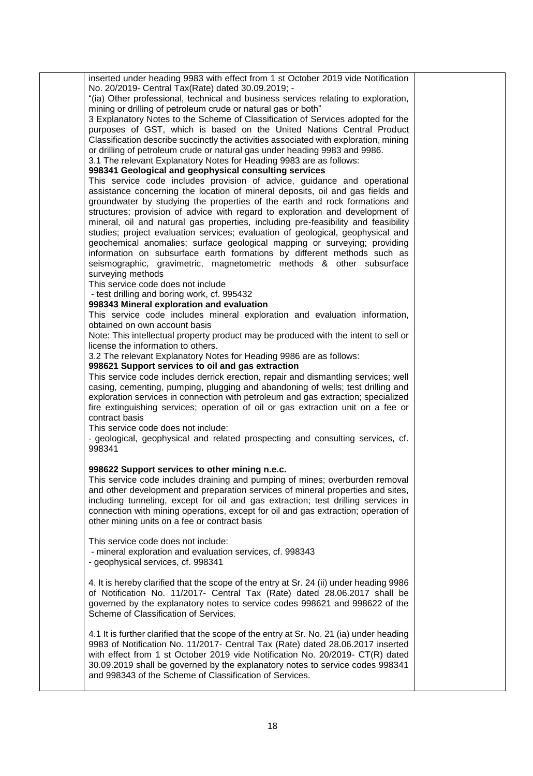inserted under heading 9983 with effect from 1 st October 2019 vide Notification No. 20/2019- Central Tax(Rate) dated 30.09.2019; - "(ia) Other professional, technical and business services relating to exploration, mining or drilling of petroleum crude or natural gas or both" 3 Explanatory Notes to the Scheme of Classification of Services adopted for the purposes of GST, which is based on the United Nations Central Product Classification describe succinctly the activities associated with exploration, mining or drilling of petroleum crude or natural gas under heading 9983 and 9986. 3.1 The relevant Explanatory Notes for Heading 9983 are as follows: **998341 Geological and geophysical consulting services**  This service code includes provision of advice, guidance and operational assistance concerning the location of mineral deposits, oil and gas fields and groundwater by studying the properties of the earth and rock formations and structures; provision of advice with regard to exploration and development of mineral, oil and natural gas properties, including pre-feasibility and feasibility studies; project evaluation services; evaluation of geological, geophysical and geochemical anomalies; surface geological mapping or surveying; providing information on subsurface earth formations by different methods such as seismographic, gravimetric, magnetometric methods & other subsurface surveying methods This service code does not include - test drilling and boring work, cf. 995432 **998343 Mineral exploration and evaluation**  This service code includes mineral exploration and evaluation information, obtained on own account basis Note: This intellectual property product may be produced with the intent to sell or license the information to others. 3.2 The relevant Explanatory Notes for Heading 9986 are as follows: **998621 Support services to oil and gas extraction** This service code includes derrick erection, repair and dismantling services; well casing, cementing, pumping, plugging and abandoning of wells; test drilling and exploration services in connection with petroleum and gas extraction; specialized fire extinguishing services; operation of oil or gas extraction unit on a fee or contract basis This service code does not include: - geological, geophysical and related prospecting and consulting services, cf. 998341 **998622 Support services to other mining n.e.c.**  This service code includes draining and pumping of mines; overburden removal and other development and preparation services of mineral properties and sites, including tunneling, except for oil and gas extraction; test drilling services in connection with mining operations, except for oil and gas extraction; operation of other mining units on a fee or contract basis This service code does not include: - mineral exploration and evaluation services, cf. 998343 - geophysical services, cf. 998341 4. It is hereby clarified that the scope of the entry at Sr. 24 (ii) under heading 9986 of Notification No. 11/2017- Central Tax (Rate) dated 28.06.2017 shall be governed by the explanatory notes to service codes 998621 and 998622 of the Scheme of Classification of Services. 4.1 It is further clarified that the scope of the entry at Sr. No. 21 (ia) under heading 9983 of Notification No. 11/2017- Central Tax (Rate) dated 28.06.2017 inserted with effect from 1 st October 2019 vide Notification No. 20/2019- CT(R) dated 30.09.2019 shall be governed by the explanatory notes to service codes 998341 and 998343 of the Scheme of Classification of Services.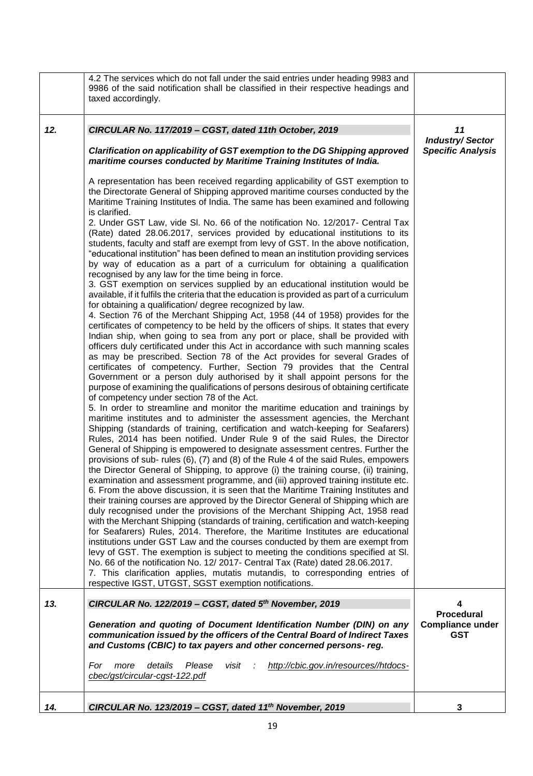|     | 4.2 The services which do not fall under the said entries under heading 9983 and<br>9986 of the said notification shall be classified in their respective headings and<br>taxed accordingly.                                                                                                                                                                                                                                                                                                                                                                 |                                                          |
|-----|--------------------------------------------------------------------------------------------------------------------------------------------------------------------------------------------------------------------------------------------------------------------------------------------------------------------------------------------------------------------------------------------------------------------------------------------------------------------------------------------------------------------------------------------------------------|----------------------------------------------------------|
| 12. | CIRCULAR No. 117/2019 - CGST, dated 11th October, 2019<br>Clarification on applicability of GST exemption to the DG Shipping approved<br>maritime courses conducted by Maritime Training Institutes of India.                                                                                                                                                                                                                                                                                                                                                | 11<br><b>Industry/Sector</b><br><b>Specific Analysis</b> |
|     | A representation has been received regarding applicability of GST exemption to<br>the Directorate General of Shipping approved maritime courses conducted by the<br>Maritime Training Institutes of India. The same has been examined and following<br>is clarified.<br>2. Under GST Law, vide SI. No. 66 of the notification No. 12/2017- Central Tax<br>(Rate) dated 28.06.2017, services provided by educational institutions to its                                                                                                                      |                                                          |
|     | students, faculty and staff are exempt from levy of GST. In the above notification,<br>"educational institution" has been defined to mean an institution providing services<br>by way of education as a part of a curriculum for obtaining a qualification<br>recognised by any law for the time being in force.<br>3. GST exemption on services supplied by an educational institution would be<br>available, if it fulfils the criteria that the education is provided as part of a curriculum<br>for obtaining a qualification/ degree recognized by law. |                                                          |
|     | 4. Section 76 of the Merchant Shipping Act, 1958 (44 of 1958) provides for the<br>certificates of competency to be held by the officers of ships. It states that every<br>Indian ship, when going to sea from any port or place, shall be provided with<br>officers duly certificated under this Act in accordance with such manning scales<br>as may be prescribed. Section 78 of the Act provides for several Grades of<br>certificates of competency. Further, Section 79 provides that the Central                                                       |                                                          |
|     | Government or a person duly authorised by it shall appoint persons for the<br>purpose of examining the qualifications of persons desirous of obtaining certificate<br>of competency under section 78 of the Act.<br>5. In order to streamline and monitor the maritime education and trainings by<br>maritime institutes and to administer the assessment agencies, the Merchant                                                                                                                                                                             |                                                          |
|     | Shipping (standards of training, certification and watch-keeping for Seafarers)<br>Rules, 2014 has been notified. Under Rule 9 of the said Rules, the Director<br>General of Shipping is empowered to designate assessment centres. Further the<br>provisions of sub- rules (6), (7) and (8) of the Rule 4 of the said Rules, empowers<br>the Director General of Shipping, to approve (i) the training course, (ii) training,<br>examination and assessment programme, and (iii) approved training institute etc.                                           |                                                          |
|     | 6. From the above discussion, it is seen that the Maritime Training Institutes and<br>their training courses are approved by the Director General of Shipping which are<br>duly recognised under the provisions of the Merchant Shipping Act, 1958 read<br>with the Merchant Shipping (standards of training, certification and watch-keeping<br>for Seafarers) Rules, 2014. Therefore, the Maritime Institutes are educational<br>institutions under GST Law and the courses conducted by them are exempt from                                              |                                                          |
|     | levy of GST. The exemption is subject to meeting the conditions specified at SI.<br>No. 66 of the notification No. 12/2017- Central Tax (Rate) dated 28.06.2017.<br>7. This clarification applies, mutatis mutandis, to corresponding entries of<br>respective IGST, UTGST, SGST exemption notifications.                                                                                                                                                                                                                                                    |                                                          |
| 13. | CIRCULAR No. 122/2019 - CGST, dated 5th November, 2019                                                                                                                                                                                                                                                                                                                                                                                                                                                                                                       | 4<br><b>Procedural</b>                                   |
|     | Generation and quoting of Document Identification Number (DIN) on any<br>communication issued by the officers of the Central Board of Indirect Taxes<br>and Customs (CBIC) to tax payers and other concerned persons-reg.                                                                                                                                                                                                                                                                                                                                    | <b>Compliance under</b><br><b>GST</b>                    |
|     | details<br>http://cbic.gov.in/resources//htdocs-<br>For more<br>Please<br>visit<br>÷.<br>cbec/gst/circular-cgst-122.pdf                                                                                                                                                                                                                                                                                                                                                                                                                                      |                                                          |
| 14. | CIRCULAR No. 123/2019 - CGST, dated 11th November, 2019                                                                                                                                                                                                                                                                                                                                                                                                                                                                                                      | 3                                                        |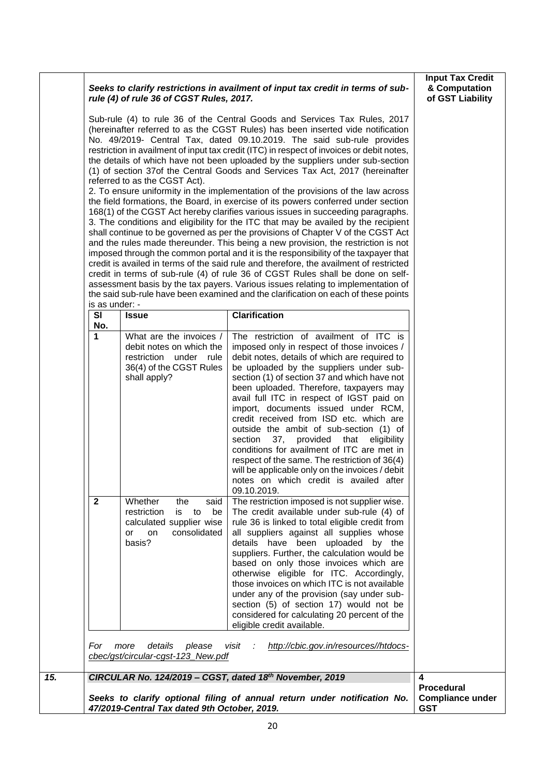|     |                                    | rule (4) of rule 36 of CGST Rules, 2017.                                                                                                                                                     | Seeks to clarify restrictions in availment of input tax credit in terms of sub-                                                                                                                                                                                                                                                                                                                                                                                                                                                                                                                                                                                                                                                                                                                                                                                                                                                                                                                                                                                                                                                                                                                                                                                                                                                                                                                                                                                                    | <b>Input Tax Credit</b><br>& Computation<br>of GST Liability |
|-----|------------------------------------|----------------------------------------------------------------------------------------------------------------------------------------------------------------------------------------------|------------------------------------------------------------------------------------------------------------------------------------------------------------------------------------------------------------------------------------------------------------------------------------------------------------------------------------------------------------------------------------------------------------------------------------------------------------------------------------------------------------------------------------------------------------------------------------------------------------------------------------------------------------------------------------------------------------------------------------------------------------------------------------------------------------------------------------------------------------------------------------------------------------------------------------------------------------------------------------------------------------------------------------------------------------------------------------------------------------------------------------------------------------------------------------------------------------------------------------------------------------------------------------------------------------------------------------------------------------------------------------------------------------------------------------------------------------------------------------|--------------------------------------------------------------|
|     |                                    | referred to as the CGST Act).                                                                                                                                                                | Sub-rule (4) to rule 36 of the Central Goods and Services Tax Rules, 2017<br>(hereinafter referred to as the CGST Rules) has been inserted vide notification<br>No. 49/2019- Central Tax, dated 09.10.2019. The said sub-rule provides<br>restriction in availment of input tax credit (ITC) in respect of invoices or debit notes,<br>the details of which have not been uploaded by the suppliers under sub-section<br>(1) of section 37of the Central Goods and Services Tax Act, 2017 (hereinafter<br>2. To ensure uniformity in the implementation of the provisions of the law across<br>the field formations, the Board, in exercise of its powers conferred under section<br>168(1) of the CGST Act hereby clarifies various issues in succeeding paragraphs.<br>3. The conditions and eligibility for the ITC that may be availed by the recipient<br>shall continue to be governed as per the provisions of Chapter V of the CGST Act<br>and the rules made thereunder. This being a new provision, the restriction is not<br>imposed through the common portal and it is the responsibility of the taxpayer that<br>credit is availed in terms of the said rule and therefore, the availment of restricted<br>credit in terms of sub-rule (4) of rule 36 of CGST Rules shall be done on self-<br>assessment basis by the tax payers. Various issues relating to implementation of<br>the said sub-rule have been examined and the clarification on each of these points |                                                              |
|     | is as under: -<br><b>SI</b><br>No. | <b>Issue</b>                                                                                                                                                                                 | <b>Clarification</b>                                                                                                                                                                                                                                                                                                                                                                                                                                                                                                                                                                                                                                                                                                                                                                                                                                                                                                                                                                                                                                                                                                                                                                                                                                                                                                                                                                                                                                                               |                                                              |
|     | 1                                  | What are the invoices /<br>debit notes on which the<br>restriction under rule<br>36(4) of the CGST Rules<br>shall apply?                                                                     | The restriction of availment of ITC is<br>imposed only in respect of those invoices /<br>debit notes, details of which are required to<br>be uploaded by the suppliers under sub-<br>section (1) of section 37 and which have not<br>been uploaded. Therefore, taxpayers may<br>avail full ITC in respect of IGST paid on<br>import, documents issued under RCM,<br>credit received from ISD etc. which are<br>outside the ambit of sub-section (1) of<br>37, provided that<br>section<br>eligibility<br>conditions for availment of ITC are met in<br>respect of the same. The restriction of 36(4)<br>will be applicable only on the invoices / debit<br>notes on which credit is availed after<br>09.10.2019.                                                                                                                                                                                                                                                                                                                                                                                                                                                                                                                                                                                                                                                                                                                                                                   |                                                              |
|     | $\mathbf{2}$<br>For                | Whether<br>the<br>said<br>restriction<br>to<br>be<br>is<br>calculated supplier wise<br>consolidated<br>on<br>or<br>basis?<br>more<br>details<br>please<br>cbec/gst/circular-cgst-123_New.pdf | The restriction imposed is not supplier wise.<br>The credit available under sub-rule (4) of<br>rule 36 is linked to total eligible credit from<br>all suppliers against all supplies whose<br>details have been uploaded by the<br>suppliers. Further, the calculation would be<br>based on only those invoices which are<br>otherwise eligible for ITC. Accordingly,<br>those invoices on which ITC is not available<br>under any of the provision (say under sub-<br>section (5) of section 17) would not be<br>considered for calculating 20 percent of the<br>eligible credit available.<br>visit :<br>http://cbic.gov.in/resources//htdocs-                                                                                                                                                                                                                                                                                                                                                                                                                                                                                                                                                                                                                                                                                                                                                                                                                                   |                                                              |
| 15. |                                    |                                                                                                                                                                                              | CIRCULAR No. 124/2019 - CGST, dated 18th November, 2019<br>Seeks to clarify optional filing of annual return under notification No.                                                                                                                                                                                                                                                                                                                                                                                                                                                                                                                                                                                                                                                                                                                                                                                                                                                                                                                                                                                                                                                                                                                                                                                                                                                                                                                                                | 4<br><b>Procedural</b><br><b>Compliance under</b>            |
|     |                                    | 47/2019-Central Tax dated 9th October, 2019.                                                                                                                                                 |                                                                                                                                                                                                                                                                                                                                                                                                                                                                                                                                                                                                                                                                                                                                                                                                                                                                                                                                                                                                                                                                                                                                                                                                                                                                                                                                                                                                                                                                                    | <b>GST</b>                                                   |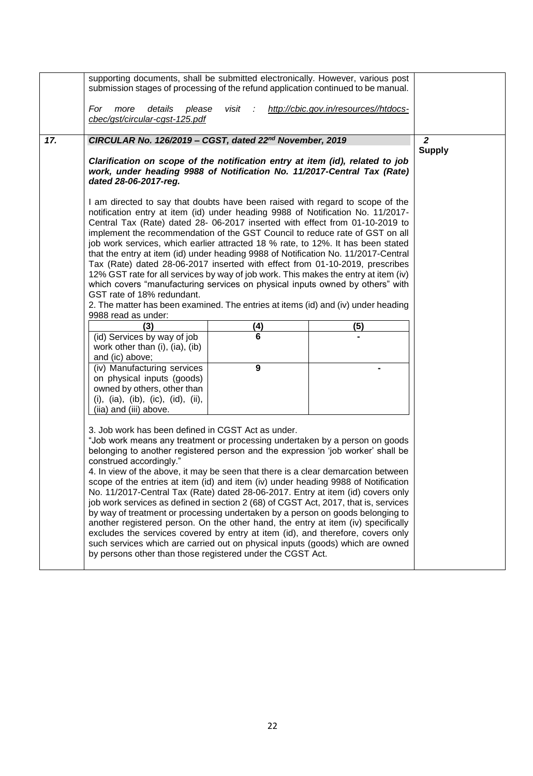|     | supporting documents, shall be submitted electronically. However, various post<br>submission stages of processing of the refund application continued to be manual.                                                                                                                                                                                                                                                                                                                                                                                                                                                                                                                                                                                                                                                                                                                                                                                                                                            |               |                                       |                |
|-----|----------------------------------------------------------------------------------------------------------------------------------------------------------------------------------------------------------------------------------------------------------------------------------------------------------------------------------------------------------------------------------------------------------------------------------------------------------------------------------------------------------------------------------------------------------------------------------------------------------------------------------------------------------------------------------------------------------------------------------------------------------------------------------------------------------------------------------------------------------------------------------------------------------------------------------------------------------------------------------------------------------------|---------------|---------------------------------------|----------------|
|     | For<br>details<br>please<br>more<br>cbec/gst/circular-cgst-125.pdf                                                                                                                                                                                                                                                                                                                                                                                                                                                                                                                                                                                                                                                                                                                                                                                                                                                                                                                                             | visit         | http://cbic.gov.in/resources//htdocs- |                |
| 17. | CIRCULAR No. 126/2019 - CGST, dated 22 <sup>nd</sup> November, 2019                                                                                                                                                                                                                                                                                                                                                                                                                                                                                                                                                                                                                                                                                                                                                                                                                                                                                                                                            |               |                                       | $\overline{2}$ |
|     | Clarification on scope of the notification entry at item (id), related to job<br>work, under heading 9988 of Notification No. 11/2017-Central Tax (Rate)<br>dated 28-06-2017-reg.                                                                                                                                                                                                                                                                                                                                                                                                                                                                                                                                                                                                                                                                                                                                                                                                                              | <b>Supply</b> |                                       |                |
|     | I am directed to say that doubts have been raised with regard to scope of the<br>notification entry at item (id) under heading 9988 of Notification No. 11/2017-<br>Central Tax (Rate) dated 28- 06-2017 inserted with effect from 01-10-2019 to<br>implement the recommendation of the GST Council to reduce rate of GST on all<br>job work services, which earlier attracted 18 % rate, to 12%. It has been stated<br>that the entry at item (id) under heading 9988 of Notification No. 11/2017-Central<br>Tax (Rate) dated 28-06-2017 inserted with effect from 01-10-2019, prescribes<br>12% GST rate for all services by way of job work. This makes the entry at item (iv)<br>which covers "manufacturing services on physical inputs owned by others" with<br>GST rate of 18% redundant.<br>2. The matter has been examined. The entries at items (id) and (iv) under heading<br>9988 read as under:                                                                                                   |               |                                       |                |
|     | (3)                                                                                                                                                                                                                                                                                                                                                                                                                                                                                                                                                                                                                                                                                                                                                                                                                                                                                                                                                                                                            | (4)           | (5)                                   |                |
|     | (id) Services by way of job<br>work other than (i), (ia), (ib)<br>and (ic) above;                                                                                                                                                                                                                                                                                                                                                                                                                                                                                                                                                                                                                                                                                                                                                                                                                                                                                                                              | 6             |                                       |                |
|     | (iv) Manufacturing services<br>on physical inputs (goods)<br>owned by others, other than<br>(i), $(ia)$ , $(ib)$ , $(ic)$ , $(id)$ , $(ii)$ ,<br>(iia) and (iii) above.                                                                                                                                                                                                                                                                                                                                                                                                                                                                                                                                                                                                                                                                                                                                                                                                                                        |               |                                       |                |
|     | 3. Job work has been defined in CGST Act as under.<br>"Job work means any treatment or processing undertaken by a person on goods<br>belonging to another registered person and the expression 'job worker' shall be<br>construed accordingly."<br>4. In view of the above, it may be seen that there is a clear demarcation between<br>scope of the entries at item (id) and item (iv) under heading 9988 of Notification<br>No. 11/2017-Central Tax (Rate) dated 28-06-2017. Entry at item (id) covers only<br>job work services as defined in section 2 (68) of CGST Act, 2017, that is, services<br>by way of treatment or processing undertaken by a person on goods belonging to<br>another registered person. On the other hand, the entry at item (iv) specifically<br>excludes the services covered by entry at item (id), and therefore, covers only<br>such services which are carried out on physical inputs (goods) which are owned<br>by persons other than those registered under the CGST Act. |               |                                       |                |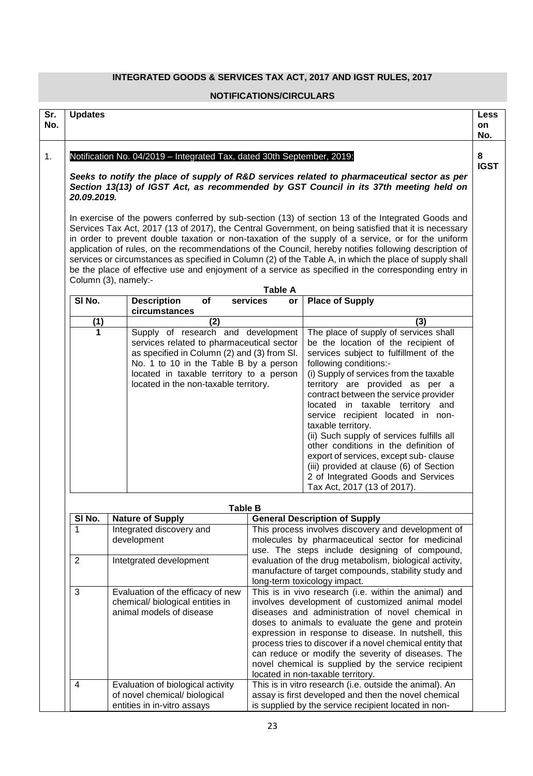## **INTEGRATED GOODS & SERVICES TAX ACT, 2017 AND IGST RULES, 2017**

#### **NOTIFICATIONS/CIRCULARS**

| Sr.<br>No. | <b>Updates</b>                                                                                                                                                                                                                                                                                                                                                                                                                                                                                                                                                                                                                                                     |  |                                                                                    |                                                                                                                   |                                                                                                          |                                                                                                                                                                                      | Less<br>on<br>No. |
|------------|--------------------------------------------------------------------------------------------------------------------------------------------------------------------------------------------------------------------------------------------------------------------------------------------------------------------------------------------------------------------------------------------------------------------------------------------------------------------------------------------------------------------------------------------------------------------------------------------------------------------------------------------------------------------|--|------------------------------------------------------------------------------------|-------------------------------------------------------------------------------------------------------------------|----------------------------------------------------------------------------------------------------------|--------------------------------------------------------------------------------------------------------------------------------------------------------------------------------------|-------------------|
| 1.         |                                                                                                                                                                                                                                                                                                                                                                                                                                                                                                                                                                                                                                                                    |  | Notification No. 04/2019 - Integrated Tax, dated 30th September, 2019:             |                                                                                                                   |                                                                                                          |                                                                                                                                                                                      | 8<br><b>IGST</b>  |
|            | 20.09.2019.                                                                                                                                                                                                                                                                                                                                                                                                                                                                                                                                                                                                                                                        |  |                                                                                    |                                                                                                                   |                                                                                                          | Seeks to notify the place of supply of R&D services related to pharmaceutical sector as per<br>Section 13(13) of IGST Act, as recommended by GST Council in its 37th meeting held on |                   |
|            | In exercise of the powers conferred by sub-section (13) of section 13 of the Integrated Goods and<br>Services Tax Act, 2017 (13 of 2017), the Central Government, on being satisfied that it is necessary<br>in order to prevent double taxation or non-taxation of the supply of a service, or for the uniform<br>application of rules, on the recommendations of the Council, hereby notifies following description of<br>services or circumstances as specified in Column (2) of the Table A, in which the place of supply shall<br>be the place of effective use and enjoyment of a service as specified in the corresponding entry in<br>Column (3), namely:- |  |                                                                                    |                                                                                                                   |                                                                                                          |                                                                                                                                                                                      |                   |
|            |                                                                                                                                                                                                                                                                                                                                                                                                                                                                                                                                                                                                                                                                    |  |                                                                                    |                                                                                                                   | <b>Table A</b>                                                                                           |                                                                                                                                                                                      |                   |
|            | SI <sub>No.</sub>                                                                                                                                                                                                                                                                                                                                                                                                                                                                                                                                                                                                                                                  |  | <b>Description</b><br>circumstances                                                | of                                                                                                                | services<br>or                                                                                           | <b>Place of Supply</b>                                                                                                                                                               |                   |
|            | (1)                                                                                                                                                                                                                                                                                                                                                                                                                                                                                                                                                                                                                                                                |  |                                                                                    | (2)                                                                                                               |                                                                                                          | (3)                                                                                                                                                                                  |                   |
|            | 1                                                                                                                                                                                                                                                                                                                                                                                                                                                                                                                                                                                                                                                                  |  | Supply of research and development                                                 |                                                                                                                   |                                                                                                          | The place of supply of services shall                                                                                                                                                |                   |
|            |                                                                                                                                                                                                                                                                                                                                                                                                                                                                                                                                                                                                                                                                    |  | services related to pharmaceutical sector                                          |                                                                                                                   |                                                                                                          | be the location of the recipient of                                                                                                                                                  |                   |
|            |                                                                                                                                                                                                                                                                                                                                                                                                                                                                                                                                                                                                                                                                    |  | as specified in Column (2) and (3) from Sl.                                        |                                                                                                                   |                                                                                                          | services subject to fulfillment of the                                                                                                                                               |                   |
|            |                                                                                                                                                                                                                                                                                                                                                                                                                                                                                                                                                                                                                                                                    |  | No. 1 to 10 in the Table B by a person<br>located in taxable territory to a person |                                                                                                                   |                                                                                                          | following conditions:-<br>(i) Supply of services from the taxable                                                                                                                    |                   |
|            |                                                                                                                                                                                                                                                                                                                                                                                                                                                                                                                                                                                                                                                                    |  | located in the non-taxable territory.                                              |                                                                                                                   |                                                                                                          | territory are provided as per a                                                                                                                                                      |                   |
|            |                                                                                                                                                                                                                                                                                                                                                                                                                                                                                                                                                                                                                                                                    |  |                                                                                    |                                                                                                                   |                                                                                                          | contract between the service provider                                                                                                                                                |                   |
|            |                                                                                                                                                                                                                                                                                                                                                                                                                                                                                                                                                                                                                                                                    |  |                                                                                    |                                                                                                                   |                                                                                                          | located in taxable territory and                                                                                                                                                     |                   |
|            |                                                                                                                                                                                                                                                                                                                                                                                                                                                                                                                                                                                                                                                                    |  |                                                                                    |                                                                                                                   |                                                                                                          | service recipient located in non-                                                                                                                                                    |                   |
|            |                                                                                                                                                                                                                                                                                                                                                                                                                                                                                                                                                                                                                                                                    |  |                                                                                    |                                                                                                                   |                                                                                                          | taxable territory.                                                                                                                                                                   |                   |
|            |                                                                                                                                                                                                                                                                                                                                                                                                                                                                                                                                                                                                                                                                    |  |                                                                                    |                                                                                                                   |                                                                                                          | (ii) Such supply of services fulfills all                                                                                                                                            |                   |
|            |                                                                                                                                                                                                                                                                                                                                                                                                                                                                                                                                                                                                                                                                    |  |                                                                                    |                                                                                                                   |                                                                                                          | other conditions in the definition of<br>export of services, except sub-clause                                                                                                       |                   |
|            |                                                                                                                                                                                                                                                                                                                                                                                                                                                                                                                                                                                                                                                                    |  |                                                                                    |                                                                                                                   |                                                                                                          | (iii) provided at clause (6) of Section                                                                                                                                              |                   |
|            |                                                                                                                                                                                                                                                                                                                                                                                                                                                                                                                                                                                                                                                                    |  |                                                                                    |                                                                                                                   |                                                                                                          | 2 of Integrated Goods and Services                                                                                                                                                   |                   |
|            |                                                                                                                                                                                                                                                                                                                                                                                                                                                                                                                                                                                                                                                                    |  |                                                                                    |                                                                                                                   |                                                                                                          | Tax Act, 2017 (13 of 2017).                                                                                                                                                          |                   |
|            |                                                                                                                                                                                                                                                                                                                                                                                                                                                                                                                                                                                                                                                                    |  |                                                                                    |                                                                                                                   |                                                                                                          |                                                                                                                                                                                      |                   |
|            |                                                                                                                                                                                                                                                                                                                                                                                                                                                                                                                                                                                                                                                                    |  |                                                                                    | <b>Table B</b>                                                                                                    |                                                                                                          |                                                                                                                                                                                      |                   |
|            | SI No.                                                                                                                                                                                                                                                                                                                                                                                                                                                                                                                                                                                                                                                             |  | <b>Nature of Supply</b>                                                            |                                                                                                                   |                                                                                                          | <b>General Description of Supply</b>                                                                                                                                                 |                   |
|            | 1                                                                                                                                                                                                                                                                                                                                                                                                                                                                                                                                                                                                                                                                  |  | Integrated discovery and                                                           |                                                                                                                   |                                                                                                          | This process involves discovery and development of                                                                                                                                   |                   |
|            |                                                                                                                                                                                                                                                                                                                                                                                                                                                                                                                                                                                                                                                                    |  | development                                                                        |                                                                                                                   |                                                                                                          | molecules by pharmaceutical sector for medicinal                                                                                                                                     |                   |
|            | 2                                                                                                                                                                                                                                                                                                                                                                                                                                                                                                                                                                                                                                                                  |  | Intetgrated development                                                            |                                                                                                                   | use. The steps include designing of compound,<br>evaluation of the drug metabolism, biological activity, |                                                                                                                                                                                      |                   |
|            |                                                                                                                                                                                                                                                                                                                                                                                                                                                                                                                                                                                                                                                                    |  |                                                                                    |                                                                                                                   |                                                                                                          | manufacture of target compounds, stability study and                                                                                                                                 |                   |
|            |                                                                                                                                                                                                                                                                                                                                                                                                                                                                                                                                                                                                                                                                    |  |                                                                                    |                                                                                                                   | long-term toxicology impact.                                                                             |                                                                                                                                                                                      |                   |
|            | 3                                                                                                                                                                                                                                                                                                                                                                                                                                                                                                                                                                                                                                                                  |  | Evaluation of the efficacy of new                                                  |                                                                                                                   |                                                                                                          | This is in vivo research (i.e. within the animal) and                                                                                                                                |                   |
|            | chemical/ biological entities in                                                                                                                                                                                                                                                                                                                                                                                                                                                                                                                                                                                                                                   |  |                                                                                    | involves development of customized animal model                                                                   |                                                                                                          |                                                                                                                                                                                      |                   |
|            | animal models of disease                                                                                                                                                                                                                                                                                                                                                                                                                                                                                                                                                                                                                                           |  | diseases and administration of novel chemical in                                   |                                                                                                                   |                                                                                                          |                                                                                                                                                                                      |                   |
|            |                                                                                                                                                                                                                                                                                                                                                                                                                                                                                                                                                                                                                                                                    |  | doses to animals to evaluate the gene and protein                                  |                                                                                                                   |                                                                                                          |                                                                                                                                                                                      |                   |
|            |                                                                                                                                                                                                                                                                                                                                                                                                                                                                                                                                                                                                                                                                    |  |                                                                                    | expression in response to disease. In nutshell, this<br>process tries to discover if a novel chemical entity that |                                                                                                          |                                                                                                                                                                                      |                   |
|            |                                                                                                                                                                                                                                                                                                                                                                                                                                                                                                                                                                                                                                                                    |  |                                                                                    |                                                                                                                   |                                                                                                          | can reduce or modify the severity of diseases. The                                                                                                                                   |                   |
|            |                                                                                                                                                                                                                                                                                                                                                                                                                                                                                                                                                                                                                                                                    |  |                                                                                    |                                                                                                                   |                                                                                                          | novel chemical is supplied by the service recipient                                                                                                                                  |                   |
|            |                                                                                                                                                                                                                                                                                                                                                                                                                                                                                                                                                                                                                                                                    |  |                                                                                    |                                                                                                                   |                                                                                                          | located in non-taxable territory.                                                                                                                                                    |                   |
|            | 4                                                                                                                                                                                                                                                                                                                                                                                                                                                                                                                                                                                                                                                                  |  | Evaluation of biological activity                                                  |                                                                                                                   |                                                                                                          | This is in vitro research (i.e. outside the animal). An                                                                                                                              |                   |
|            |                                                                                                                                                                                                                                                                                                                                                                                                                                                                                                                                                                                                                                                                    |  | of novel chemical/ biological                                                      |                                                                                                                   |                                                                                                          | assay is first developed and then the novel chemical                                                                                                                                 |                   |
|            |                                                                                                                                                                                                                                                                                                                                                                                                                                                                                                                                                                                                                                                                    |  | entities in in-vitro assays                                                        |                                                                                                                   |                                                                                                          | is supplied by the service recipient located in non-                                                                                                                                 |                   |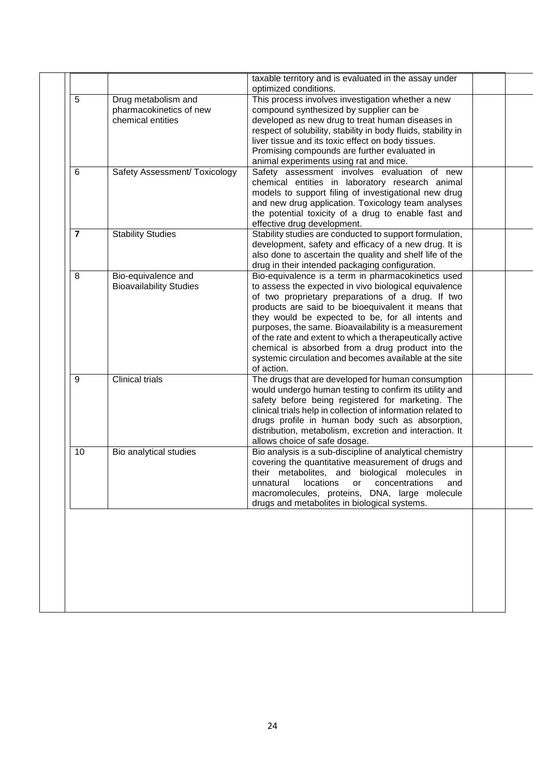|                |                                                                     | taxable territory and is evaluated in the assay under<br>optimized conditions.                                                                                      |  |
|----------------|---------------------------------------------------------------------|---------------------------------------------------------------------------------------------------------------------------------------------------------------------|--|
| 5              | Drug metabolism and<br>pharmacokinetics of new<br>chemical entities | This process involves investigation whether a new<br>compound synthesized by supplier can be<br>developed as new drug to treat human diseases in                    |  |
|                |                                                                     | respect of solubility, stability in body fluids, stability in<br>liver tissue and its toxic effect on body tissues.<br>Promising compounds are further evaluated in |  |
| 6              |                                                                     | animal experiments using rat and mice.<br>Safety assessment involves evaluation of new                                                                              |  |
|                | Safety Assessment/ Toxicology                                       | chemical entities in laboratory research animal<br>models to support filing of investigational new drug                                                             |  |
|                |                                                                     | and new drug application. Toxicology team analyses<br>the potential toxicity of a drug to enable fast and                                                           |  |
| $\overline{7}$ | <b>Stability Studies</b>                                            | effective drug development.<br>Stability studies are conducted to support formulation,                                                                              |  |
|                |                                                                     | development, safety and efficacy of a new drug. It is<br>also done to ascertain the quality and shelf life of the                                                   |  |
|                |                                                                     | drug in their intended packaging configuration.                                                                                                                     |  |
| 8              | Bio-equivalence and                                                 | Bio-equivalence is a term in pharmacokinetics used                                                                                                                  |  |
|                | <b>Bioavailability Studies</b>                                      | to assess the expected in vivo biological equivalence                                                                                                               |  |
|                |                                                                     | of two proprietary preparations of a drug. If two                                                                                                                   |  |
|                |                                                                     | products are said to be bioequivalent it means that<br>they would be expected to be, for all intents and                                                            |  |
|                |                                                                     | purposes, the same. Bioavailability is a measurement                                                                                                                |  |
|                |                                                                     | of the rate and extent to which a therapeutically active                                                                                                            |  |
|                |                                                                     | chemical is absorbed from a drug product into the                                                                                                                   |  |
|                |                                                                     | systemic circulation and becomes available at the site                                                                                                              |  |
| 9              | Clinical trials                                                     | of action.                                                                                                                                                          |  |
|                |                                                                     | The drugs that are developed for human consumption<br>would undergo human testing to confirm its utility and<br>safety before being registered for marketing. The   |  |
|                |                                                                     | clinical trials help in collection of information related to                                                                                                        |  |
|                |                                                                     | drugs profile in human body such as absorption,                                                                                                                     |  |
|                |                                                                     | distribution, metabolism, excretion and interaction. It<br>allows choice of safe dosage.                                                                            |  |
| 10             | Bio analytical studies                                              | Bio analysis is a sub-discipline of analytical chemistry<br>covering the quantitative measurement of drugs and                                                      |  |
|                |                                                                     | their metabolites, and biological molecules in<br>locations<br>unnatural<br>concentrations<br>or<br>and                                                             |  |
|                |                                                                     | macromolecules, proteins, DNA, large molecule<br>drugs and metabolites in biological systems.                                                                       |  |
|                |                                                                     |                                                                                                                                                                     |  |
|                |                                                                     |                                                                                                                                                                     |  |
|                |                                                                     |                                                                                                                                                                     |  |
|                |                                                                     |                                                                                                                                                                     |  |
|                |                                                                     |                                                                                                                                                                     |  |
|                |                                                                     |                                                                                                                                                                     |  |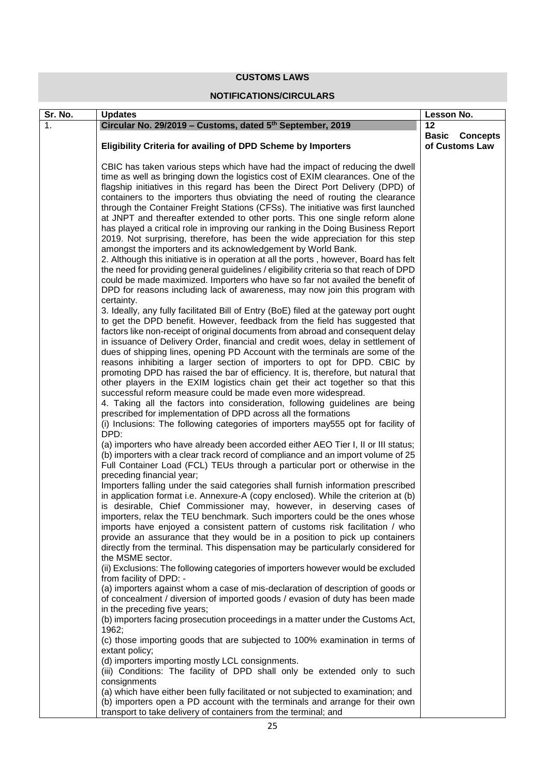### **CUSTOMS LAWS**

### **NOTIFICATIONS/CIRCULARS**

| Sr. No. | <b>Updates</b>                                                                                                                                                 | Lesson No.     |                       |
|---------|----------------------------------------------------------------------------------------------------------------------------------------------------------------|----------------|-----------------------|
| 1.      | Circular No. 29/2019 - Customs, dated 5 <sup>th</sup> September, 2019                                                                                          | 12             |                       |
|         |                                                                                                                                                                |                | <b>Basic Concepts</b> |
|         | <b>Eligibility Criteria for availing of DPD Scheme by Importers</b>                                                                                            | of Customs Law |                       |
|         |                                                                                                                                                                |                |                       |
|         | CBIC has taken various steps which have had the impact of reducing the dwell                                                                                   |                |                       |
|         | time as well as bringing down the logistics cost of EXIM clearances. One of the                                                                                |                |                       |
|         | flagship initiatives in this regard has been the Direct Port Delivery (DPD) of<br>containers to the importers thus obviating the need of routing the clearance |                |                       |
|         | through the Container Freight Stations (CFSs). The initiative was first launched                                                                               |                |                       |
|         | at JNPT and thereafter extended to other ports. This one single reform alone                                                                                   |                |                       |
|         | has played a critical role in improving our ranking in the Doing Business Report                                                                               |                |                       |
|         | 2019. Not surprising, therefore, has been the wide appreciation for this step                                                                                  |                |                       |
|         | amongst the importers and its acknowledgement by World Bank.                                                                                                   |                |                       |
|         | 2. Although this initiative is in operation at all the ports, however, Board has felt                                                                          |                |                       |
|         | the need for providing general guidelines / eligibility criteria so that reach of DPD                                                                          |                |                       |
|         | could be made maximized. Importers who have so far not availed the benefit of                                                                                  |                |                       |
|         | DPD for reasons including lack of awareness, may now join this program with                                                                                    |                |                       |
|         | certainty.                                                                                                                                                     |                |                       |
|         | 3. Ideally, any fully facilitated Bill of Entry (BoE) filed at the gateway port ought                                                                          |                |                       |
|         | to get the DPD benefit. However, feedback from the field has suggested that                                                                                    |                |                       |
|         | factors like non-receipt of original documents from abroad and consequent delay                                                                                |                |                       |
|         | in issuance of Delivery Order, financial and credit woes, delay in settlement of                                                                               |                |                       |
|         | dues of shipping lines, opening PD Account with the terminals are some of the<br>reasons inhibiting a larger section of importers to opt for DPD. CBIC by      |                |                       |
|         | promoting DPD has raised the bar of efficiency. It is, therefore, but natural that                                                                             |                |                       |
|         | other players in the EXIM logistics chain get their act together so that this                                                                                  |                |                       |
|         | successful reform measure could be made even more widespread.                                                                                                  |                |                       |
|         | 4. Taking all the factors into consideration, following guidelines are being                                                                                   |                |                       |
|         | prescribed for implementation of DPD across all the formations                                                                                                 |                |                       |
|         | (i) Inclusions: The following categories of importers may555 opt for facility of                                                                               |                |                       |
|         | DPD:                                                                                                                                                           |                |                       |
|         | (a) importers who have already been accorded either AEO Tier I, II or III status;                                                                              |                |                       |
|         | (b) importers with a clear track record of compliance and an import volume of 25                                                                               |                |                       |
|         | Full Container Load (FCL) TEUs through a particular port or otherwise in the                                                                                   |                |                       |
|         | preceding financial year;                                                                                                                                      |                |                       |
|         | Importers falling under the said categories shall furnish information prescribed                                                                               |                |                       |
|         | in application format i.e. Annexure-A (copy enclosed). While the criterion at (b)<br>is desirable, Chief Commissioner may, however, in deserving cases of      |                |                       |
|         | importers, relax the TEU benchmark. Such importers could be the ones whose                                                                                     |                |                       |
|         | imports have enjoyed a consistent pattern of customs risk facilitation / who                                                                                   |                |                       |
|         | provide an assurance that they would be in a position to pick up containers                                                                                    |                |                       |
|         | directly from the terminal. This dispensation may be particularly considered for                                                                               |                |                       |
|         | the MSME sector.                                                                                                                                               |                |                       |
|         | (ii) Exclusions: The following categories of importers however would be excluded                                                                               |                |                       |
|         | from facility of DPD: -                                                                                                                                        |                |                       |
|         | (a) importers against whom a case of mis-declaration of description of goods or                                                                                |                |                       |
|         | of concealment / diversion of imported goods / evasion of duty has been made                                                                                   |                |                       |
|         | in the preceding five years;                                                                                                                                   |                |                       |
|         | (b) importers facing prosecution proceedings in a matter under the Customs Act,                                                                                |                |                       |
|         | 1962;                                                                                                                                                          |                |                       |
|         | (c) those importing goods that are subjected to 100% examination in terms of                                                                                   |                |                       |
|         | extant policy;<br>(d) importers importing mostly LCL consignments.                                                                                             |                |                       |
|         | (iii) Conditions: The facility of DPD shall only be extended only to such                                                                                      |                |                       |
|         | consignments                                                                                                                                                   |                |                       |
|         | (a) which have either been fully facilitated or not subjected to examination; and                                                                              |                |                       |
|         | (b) importers open a PD account with the terminals and arrange for their own                                                                                   |                |                       |
|         | transport to take delivery of containers from the terminal; and                                                                                                |                |                       |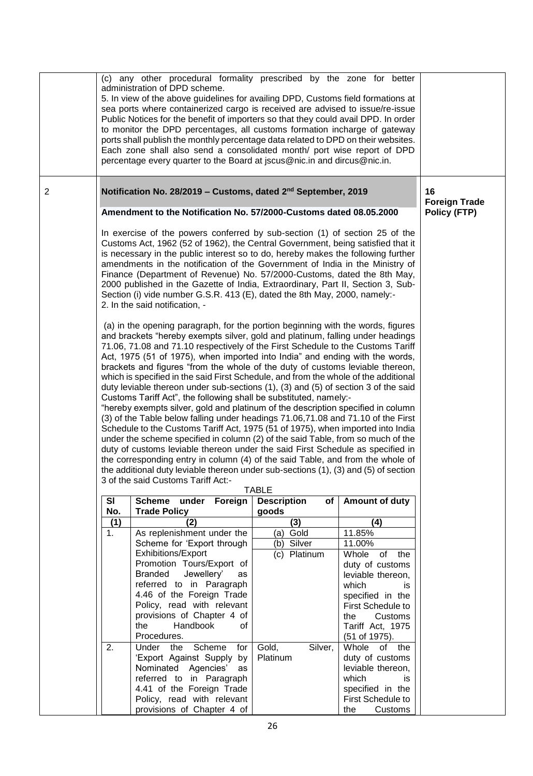|                | (c) any other procedural formality prescribed by the zone for better<br>administration of DPD scheme.<br>5. In view of the above guidelines for availing DPD, Customs field formations at<br>sea ports where containerized cargo is received are advised to issue/re-issue<br>Public Notices for the benefit of importers so that they could avail DPD. In order<br>to monitor the DPD percentages, all customs formation incharge of gateway<br>ports shall publish the monthly percentage data related to DPD on their websites.<br>Each zone shall also send a consolidated month/ port wise report of DPD<br>percentage every quarter to the Board at jscus@nic.in and dircus@nic.in.                                                                                                                                                                                                                                                                                                                                                                                                                                                                                                                                                                                                                                                                                                                                                                                                                                                                                                                                                                                                                                                                                                                                                                                                           |                                                                    |                                   |                                     |              |
|----------------|-----------------------------------------------------------------------------------------------------------------------------------------------------------------------------------------------------------------------------------------------------------------------------------------------------------------------------------------------------------------------------------------------------------------------------------------------------------------------------------------------------------------------------------------------------------------------------------------------------------------------------------------------------------------------------------------------------------------------------------------------------------------------------------------------------------------------------------------------------------------------------------------------------------------------------------------------------------------------------------------------------------------------------------------------------------------------------------------------------------------------------------------------------------------------------------------------------------------------------------------------------------------------------------------------------------------------------------------------------------------------------------------------------------------------------------------------------------------------------------------------------------------------------------------------------------------------------------------------------------------------------------------------------------------------------------------------------------------------------------------------------------------------------------------------------------------------------------------------------------------------------------------------------|--------------------------------------------------------------------|-----------------------------------|-------------------------------------|--------------|
| $\overline{2}$ | Notification No. 28/2019 - Customs, dated 2 <sup>nd</sup> September, 2019                                                                                                                                                                                                                                                                                                                                                                                                                                                                                                                                                                                                                                                                                                                                                                                                                                                                                                                                                                                                                                                                                                                                                                                                                                                                                                                                                                                                                                                                                                                                                                                                                                                                                                                                                                                                                           | 16<br><b>Foreign Trade</b>                                         |                                   |                                     |              |
|                |                                                                                                                                                                                                                                                                                                                                                                                                                                                                                                                                                                                                                                                                                                                                                                                                                                                                                                                                                                                                                                                                                                                                                                                                                                                                                                                                                                                                                                                                                                                                                                                                                                                                                                                                                                                                                                                                                                     | Amendment to the Notification No. 57/2000-Customs dated 08.05.2000 |                                   |                                     | Policy (FTP) |
|                | In exercise of the powers conferred by sub-section (1) of section 25 of the<br>Customs Act, 1962 (52 of 1962), the Central Government, being satisfied that it<br>is necessary in the public interest so to do, hereby makes the following further<br>amendments in the notification of the Government of India in the Ministry of<br>Finance (Department of Revenue) No. 57/2000-Customs, dated the 8th May,<br>2000 published in the Gazette of India, Extraordinary, Part II, Section 3, Sub-<br>Section (i) vide number G.S.R. 413 (E), dated the 8th May, 2000, namely:-<br>2. In the said notification, -<br>(a) in the opening paragraph, for the portion beginning with the words, figures<br>and brackets "hereby exempts silver, gold and platinum, falling under headings<br>71.06, 71.08 and 71.10 respectively of the First Schedule to the Customs Tariff<br>Act, 1975 (51 of 1975), when imported into India" and ending with the words,<br>brackets and figures "from the whole of the duty of customs leviable thereon,<br>which is specified in the said First Schedule, and from the whole of the additional<br>duty leviable thereon under sub-sections (1), (3) and (5) of section 3 of the said<br>Customs Tariff Act", the following shall be substituted, namely:-<br>"hereby exempts silver, gold and platinum of the description specified in column<br>(3) of the Table below falling under headings 71.06,71.08 and 71.10 of the First<br>Schedule to the Customs Tariff Act, 1975 (51 of 1975), when imported into India<br>under the scheme specified in column (2) of the said Table, from so much of the<br>duty of customs leviable thereon under the said First Schedule as specified in<br>the corresponding entry in column (4) of the said Table, and from the whole of<br>the additional duty leviable thereon under sub-sections (1), (3) and (5) of section |                                                                    |                                   |                                     |              |
|                |                                                                                                                                                                                                                                                                                                                                                                                                                                                                                                                                                                                                                                                                                                                                                                                                                                                                                                                                                                                                                                                                                                                                                                                                                                                                                                                                                                                                                                                                                                                                                                                                                                                                                                                                                                                                                                                                                                     | 3 of the said Customs Tariff Act:-                                 | <b>TABLE</b>                      |                                     |              |
|                | <b>SI</b>                                                                                                                                                                                                                                                                                                                                                                                                                                                                                                                                                                                                                                                                                                                                                                                                                                                                                                                                                                                                                                                                                                                                                                                                                                                                                                                                                                                                                                                                                                                                                                                                                                                                                                                                                                                                                                                                                           |                                                                    |                                   |                                     |              |
|                | No.                                                                                                                                                                                                                                                                                                                                                                                                                                                                                                                                                                                                                                                                                                                                                                                                                                                                                                                                                                                                                                                                                                                                                                                                                                                                                                                                                                                                                                                                                                                                                                                                                                                                                                                                                                                                                                                                                                 | Scheme under Foreign<br><b>Trade Policy</b>                        | <b>Description</b><br>of<br>goods | Amount of duty                      |              |
|                | (1)                                                                                                                                                                                                                                                                                                                                                                                                                                                                                                                                                                                                                                                                                                                                                                                                                                                                                                                                                                                                                                                                                                                                                                                                                                                                                                                                                                                                                                                                                                                                                                                                                                                                                                                                                                                                                                                                                                 | (2)                                                                | (3)                               | (4)                                 |              |
|                | 1 <sub>1</sub>                                                                                                                                                                                                                                                                                                                                                                                                                                                                                                                                                                                                                                                                                                                                                                                                                                                                                                                                                                                                                                                                                                                                                                                                                                                                                                                                                                                                                                                                                                                                                                                                                                                                                                                                                                                                                                                                                      | As replenishment under the                                         | (a) Gold                          | 11.85%                              |              |
|                |                                                                                                                                                                                                                                                                                                                                                                                                                                                                                                                                                                                                                                                                                                                                                                                                                                                                                                                                                                                                                                                                                                                                                                                                                                                                                                                                                                                                                                                                                                                                                                                                                                                                                                                                                                                                                                                                                                     | Scheme for 'Export through                                         | (b) Silver                        | 11.00%                              |              |
|                |                                                                                                                                                                                                                                                                                                                                                                                                                                                                                                                                                                                                                                                                                                                                                                                                                                                                                                                                                                                                                                                                                                                                                                                                                                                                                                                                                                                                                                                                                                                                                                                                                                                                                                                                                                                                                                                                                                     | Exhibitions/Export                                                 | (c) Platinum                      | Whole of the                        |              |
|                |                                                                                                                                                                                                                                                                                                                                                                                                                                                                                                                                                                                                                                                                                                                                                                                                                                                                                                                                                                                                                                                                                                                                                                                                                                                                                                                                                                                                                                                                                                                                                                                                                                                                                                                                                                                                                                                                                                     | Promotion Tours/Export of                                          |                                   | duty of customs                     |              |
|                |                                                                                                                                                                                                                                                                                                                                                                                                                                                                                                                                                                                                                                                                                                                                                                                                                                                                                                                                                                                                                                                                                                                                                                                                                                                                                                                                                                                                                                                                                                                                                                                                                                                                                                                                                                                                                                                                                                     | Branded Jewellery'<br>as<br>referred to in Paragraph               |                                   | leviable thereon,<br>which          |              |
|                |                                                                                                                                                                                                                                                                                                                                                                                                                                                                                                                                                                                                                                                                                                                                                                                                                                                                                                                                                                                                                                                                                                                                                                                                                                                                                                                                                                                                                                                                                                                                                                                                                                                                                                                                                                                                                                                                                                     | 4.46 of the Foreign Trade                                          |                                   | is<br>specified in the              |              |
|                |                                                                                                                                                                                                                                                                                                                                                                                                                                                                                                                                                                                                                                                                                                                                                                                                                                                                                                                                                                                                                                                                                                                                                                                                                                                                                                                                                                                                                                                                                                                                                                                                                                                                                                                                                                                                                                                                                                     | Policy, read with relevant                                         |                                   | First Schedule to                   |              |
|                |                                                                                                                                                                                                                                                                                                                                                                                                                                                                                                                                                                                                                                                                                                                                                                                                                                                                                                                                                                                                                                                                                                                                                                                                                                                                                                                                                                                                                                                                                                                                                                                                                                                                                                                                                                                                                                                                                                     | provisions of Chapter 4 of                                         |                                   | Customs<br>the                      |              |
|                |                                                                                                                                                                                                                                                                                                                                                                                                                                                                                                                                                                                                                                                                                                                                                                                                                                                                                                                                                                                                                                                                                                                                                                                                                                                                                                                                                                                                                                                                                                                                                                                                                                                                                                                                                                                                                                                                                                     | Handbook<br>the<br>οf                                              |                                   | Tariff Act, 1975                    |              |
|                |                                                                                                                                                                                                                                                                                                                                                                                                                                                                                                                                                                                                                                                                                                                                                                                                                                                                                                                                                                                                                                                                                                                                                                                                                                                                                                                                                                                                                                                                                                                                                                                                                                                                                                                                                                                                                                                                                                     | Procedures.                                                        |                                   | (51 of 1975).                       |              |
|                | 2.                                                                                                                                                                                                                                                                                                                                                                                                                                                                                                                                                                                                                                                                                                                                                                                                                                                                                                                                                                                                                                                                                                                                                                                                                                                                                                                                                                                                                                                                                                                                                                                                                                                                                                                                                                                                                                                                                                  | Under the Scheme<br>for                                            | Gold,<br>Silver,                  | Whole of the                        |              |
|                |                                                                                                                                                                                                                                                                                                                                                                                                                                                                                                                                                                                                                                                                                                                                                                                                                                                                                                                                                                                                                                                                                                                                                                                                                                                                                                                                                                                                                                                                                                                                                                                                                                                                                                                                                                                                                                                                                                     | 'Export Against Supply by                                          | Platinum                          | duty of customs                     |              |
|                |                                                                                                                                                                                                                                                                                                                                                                                                                                                                                                                                                                                                                                                                                                                                                                                                                                                                                                                                                                                                                                                                                                                                                                                                                                                                                                                                                                                                                                                                                                                                                                                                                                                                                                                                                                                                                                                                                                     | Nominated Agencies' as                                             |                                   | leviable thereon,                   |              |
|                |                                                                                                                                                                                                                                                                                                                                                                                                                                                                                                                                                                                                                                                                                                                                                                                                                                                                                                                                                                                                                                                                                                                                                                                                                                                                                                                                                                                                                                                                                                                                                                                                                                                                                                                                                                                                                                                                                                     | referred to in Paragraph                                           |                                   | which<br><b>is</b>                  |              |
|                |                                                                                                                                                                                                                                                                                                                                                                                                                                                                                                                                                                                                                                                                                                                                                                                                                                                                                                                                                                                                                                                                                                                                                                                                                                                                                                                                                                                                                                                                                                                                                                                                                                                                                                                                                                                                                                                                                                     | 4.41 of the Foreign Trade                                          |                                   | specified in the                    |              |
|                |                                                                                                                                                                                                                                                                                                                                                                                                                                                                                                                                                                                                                                                                                                                                                                                                                                                                                                                                                                                                                                                                                                                                                                                                                                                                                                                                                                                                                                                                                                                                                                                                                                                                                                                                                                                                                                                                                                     | Policy, read with relevant<br>provisions of Chapter 4 of           |                                   | First Schedule to<br>the<br>Customs |              |
|                |                                                                                                                                                                                                                                                                                                                                                                                                                                                                                                                                                                                                                                                                                                                                                                                                                                                                                                                                                                                                                                                                                                                                                                                                                                                                                                                                                                                                                                                                                                                                                                                                                                                                                                                                                                                                                                                                                                     |                                                                    | 26                                |                                     |              |
|                |                                                                                                                                                                                                                                                                                                                                                                                                                                                                                                                                                                                                                                                                                                                                                                                                                                                                                                                                                                                                                                                                                                                                                                                                                                                                                                                                                                                                                                                                                                                                                                                                                                                                                                                                                                                                                                                                                                     |                                                                    |                                   |                                     |              |